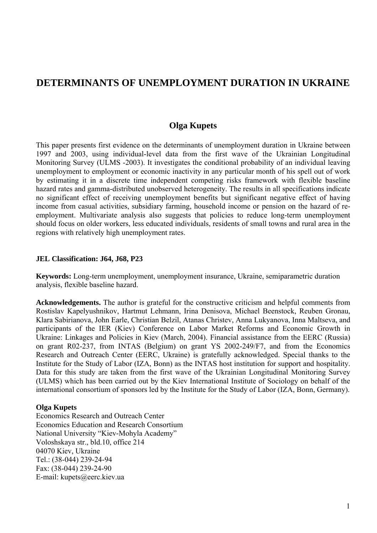# **DETERMINANTS OF UNEMPLOYMENT DURATION IN UKRAINE**

### **Olga Kupets**

This paper presents first evidence on the determinants of unemployment duration in Ukraine between 1997 and 2003, using individual-level data from the first wave of the Ukrainian Longitudinal Monitoring Survey (ULMS -2003). It investigates the conditional probability of an individual leaving unemployment to employment or economic inactivity in any particular month of his spell out of work by estimating it in a discrete time independent competing risks framework with flexible baseline hazard rates and gamma-distributed unobserved heterogeneity. The results in all specifications indicate no significant effect of receiving unemployment benefits but significant negative effect of having income from casual activities, subsidiary farming, household income or pension on the hazard of reemployment. Multivariate analysis also suggests that policies to reduce long-term unemployment should focus on older workers, less educated individuals, residents of small towns and rural area in the regions with relatively high unemployment rates.

### **JEL Classification: J64, J68, P23**

**Keywords:** Long-term unemployment, unemployment insurance, Ukraine, semiparametric duration analysis, flexible baseline hazard.

**Acknowledgements.** The author is grateful for the constructive criticism and helpful comments from Rostislav Kapelyushnikov, Hartmut Lehmann, Irina Denisova, Michael Beenstock, Reuben Gronau, Klara Sabirianova, John Earle, Christian Belzil, Atanas Christev, Anna Lukyanova, Inna Maltseva, and participants of the IER (Kiev) Conference on Labor Market Reforms and Economic Growth in Ukraine: Linkages and Policies in Kiev (March, 2004). Financial assistance from the EERC (Russia) on grant R02-237, from INTAS (Belgium) on grant YS 2002-249/F7, and from the Economics Research and Outreach Center (EERC, Ukraine) is gratefully acknowledged. Special thanks to the Institute for the Study of Labor (IZA, Bonn) as the INTAS host institution for support and hospitality. Data for this study are taken from the first wave of the Ukrainian Longitudinal Monitoring Survey (ULMS) which has been carried out by the Kiev International Institute of Sociology on behalf of the international consortium of sponsors led by the Institute for the Study of Labor (IZA, Bonn, Germany).

### **Olga Kupets**

Economics Research and Outreach Center Economics Education and Research Consortium National University "Kiev-Mohyla Academy" Voloshskaya str., bld.10, office 214 04070 Kiev, Ukraine Tel.: (38-044) 239-24-94 Fax: (38-044) 239-24-90 E-mail: kupets@eerc.kiev.ua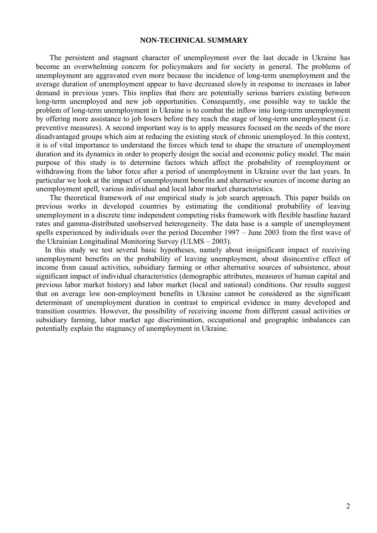### **NON-TECHNICAL SUMMARY**

The persistent and stagnant character of unemployment over the last decade in Ukraine has become an overwhelming concern for policymakers and for society in general. The problems of unemployment are aggravated even more because the incidence of long-term unemployment and the average duration of unemployment appear to have decreased slowly in response to increases in labor demand in previous years. This implies that there are potentially serious barriers existing between long-term unemployed and new job opportunities. Consequently, one possible way to tackle the problem of long-term unemployment in Ukraine is to combat the inflow into long-term unemployment by offering more assistance to job losers before they reach the stage of long-term unemployment (i.e. preventive measures). A second important way is to apply measures focused on the needs of the more disadvantaged groups which aim at reducing the existing stock of chronic unemployed. In this context, it is of vital importance to understand the forces which tend to shape the structure of unemployment duration and its dynamics in order to properly design the social and economic policy model. The main purpose of this study is to determine factors which affect the probability of reemployment or withdrawing from the labor force after a period of unemployment in Ukraine over the last years. In particular we look at the impact of unemployment benefits and alternative sources of income during an unemployment spell, various individual and local labor market characteristics.

The theoretical framework of our empirical study is job search approach. This paper builds on previous works in developed countries by estimating the conditional probability of leaving unemployment in a discrete time independent competing risks framework with flexible baseline hazard rates and gamma-distributed unobserved heterogeneity. The data base is a sample of unemployment spells experienced by individuals over the period December 1997 – June 2003 from the first wave of the Ukrainian Longitudinal Monitoring Survey (ULMS – 2003).

In this study we test several basic hypotheses, namely about insignificant impact of receiving unemployment benefits on the probability of leaving unemployment, about disincentive effect of income from casual activities, subsidiary farming or other alternative sources of subsistence, about significant impact of individual characteristics (demographic attributes, measures of human capital and previous labor market history) and labor market (local and national) conditions. Our results suggest that on average low non-employment benefits in Ukraine cannot be considered as the significant determinant of unemployment duration in contrast to empirical evidence in many developed and transition countries. However, the possibility of receiving income from different casual activities or subsidiary farming, labor market age discrimination, occupational and geographic imbalances can potentially explain the stagnancy of unemployment in Ukraine.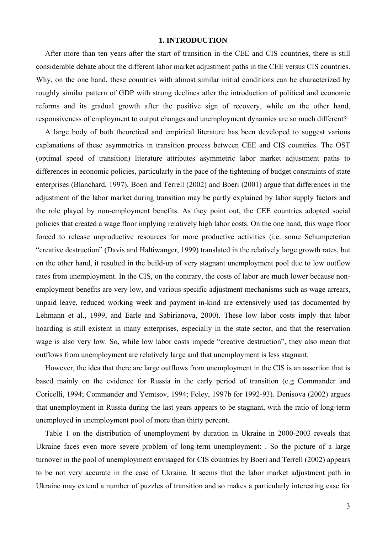#### **1. INTRODUCTION**

After more than ten years after the start of transition in the CEE and CIS countries, there is still considerable debate about the different labor market adjustment paths in the CEE versus CIS countries. Why, on the one hand, these countries with almost similar initial conditions can be characterized by roughly similar pattern of GDP with strong declines after the introduction of political and economic reforms and its gradual growth after the positive sign of recovery, while on the other hand, responsiveness of employment to output changes and unemployment dynamics are so much different?

A large body of both theoretical and empirical literature has been developed to suggest various explanations of these asymmetries in transition process between CEE and CIS countries. The OST (optimal speed of transition) literature attributes asymmetric labor market adjustment paths to differences in economic policies, particularly in the pace of the tightening of budget constraints of state enterprises (Blanchard, 1997). Boeri and Terrell (2002) and Boeri (2001) argue that differences in the adjustment of the labor market during transition may be partly explained by labor supply factors and the role played by non-employment benefits. As they point out, the CEE countries adopted social policies that created a wage floor implying relatively high labor costs. On the one hand, this wage floor forced to release unproductive resources for more productive activities (i.e. some Schumpeterian "creative destruction" (Davis and Haltiwanger, 1999) translated in the relatively large growth rates, but on the other hand, it resulted in the build-up of very stagnant unemployment pool due to low outflow rates from unemployment. In the CIS, on the contrary, the costs of labor are much lower because nonemployment benefits are very low, and various specific adjustment mechanisms such as wage arrears, unpaid leave, reduced working week and payment in-kind are extensively used (as documented by Lehmann et al., 1999, and Earle and Sabirianova, 2000). These low labor costs imply that labor hoarding is still existent in many enterprises, especially in the state sector, and that the reservation wage is also very low. So, while low labor costs impede "creative destruction", they also mean that outflows from unemployment are relatively large and that unemployment is less stagnant.

However, the idea that there are large outflows from unemployment in the CIS is an assertion that is based mainly on the evidence for Russia in the early period of transition (e.g Commander and Coricelli, 1994; Commander and Yemtsov, 1994; Foley, 1997b for 1992-93). Denisova (2002) argues that unemployment in Russia during the last years appears to be stagnant, with the ratio of long-term unemployed in unemployment pool of more than thirty percent.

Table 1 on the distribution of unemployment by duration in Ukraine in 2000-2003 reveals that Ukraine faces even more severe problem of long-term unemployment: . So the picture of a large turnover in the pool of unemployment envisaged for CIS countries by Boeri and Terrell (2002) appears to be not very accurate in the case of Ukraine. It seems that the labor market adjustment path in Ukraine may extend a number of puzzles of transition and so makes a particularly interesting case for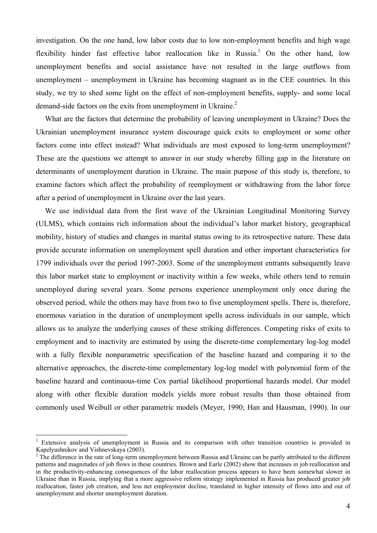investigation. On the one hand, low labor costs due to low non-employment benefits and high wage flexibility hinder fast effective labor reallocation like in Russia.<sup>1</sup> On the other hand, low unemployment benefits and social assistance have not resulted in the large outflows from unemployment – unemployment in Ukraine has becoming stagnant as in the CEE countries. In this study, we try to shed some light on the effect of non-employment benefits, supply- and some local demand-side factors on the exits from unemployment in Ukraine.<sup>2</sup>

What are the factors that determine the probability of leaving unemployment in Ukraine? Does the Ukrainian unemployment insurance system discourage quick exits to employment or some other factors come into effect instead? What individuals are most exposed to long-term unemployment? These are the questions we attempt to answer in our study whereby filling gap in the literature on determinants of unemployment duration in Ukraine. The main purpose of this study is, therefore, to examine factors which affect the probability of reemployment or withdrawing from the labor force after a period of unemployment in Ukraine over the last years.

We use individual data from the first wave of the Ukrainian Longitudinal Monitoring Survey (ULMS), which contains rich information about the individual's labor market history, geographical mobility, history of studies and changes in marital status owing to its retrospective nature. These data provide accurate information on unemployment spell duration and other important characteristics for 1799 individuals over the period 1997-2003. Some of the unemployment entrants subsequently leave this labor market state to employment or inactivity within a few weeks, while others tend to remain unemployed during several years. Some persons experience unemployment only once during the observed period, while the others may have from two to five unemployment spells. There is, therefore, enormous variation in the duration of unemployment spells across individuals in our sample, which allows us to analyze the underlying causes of these striking differences. Competing risks of exits to employment and to inactivity are estimated by using the discrete-time complementary log-log model with a fully flexible nonparametric specification of the baseline hazard and comparing it to the alternative approaches, the discrete-time complementary log-log model with polynomial form of the baseline hazard and continuous-time Cox partial likelihood proportional hazards model. Our model along with other flexible duration models yields more robust results than those obtained from commonly used Weibull or other parametric models (Meyer, 1990; Han and Hausman, 1990). In our

<sup>&</sup>lt;sup>1</sup> Extensive analysis of unemployment in Russia and its comparison with other transition countries is provided in Kapelyushnikov and Vishnevskaya (2003).

 $2^2$  The difference in the rate of long-term unemployment between Russia and Ukraine can be partly attributed to the different patterns and magnitudes of job flows in these countries. Brown and Earle (2002) show that increases in job reallocation and in the productivity-enhancing consequences of the labor reallocation process appears to have been somewhat slower in Ukraine than in Russia, implying that a more aggressive reform strategy implemented in Russia has produced greater job reallocation, faster job creation, and less net employment decline, translated in higher intensity of flows into and out of unemployment and shorter unemployment duration.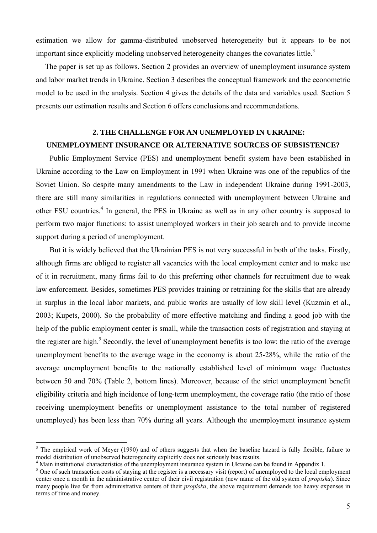estimation we allow for gamma-distributed unobserved heterogeneity but it appears to be not important since explicitly modeling unobserved heterogeneity changes the covariates little.<sup>3</sup>

The paper is set up as follows. Section 2 provides an overview of unemployment insurance system and labor market trends in Ukraine. Section 3 describes the conceptual framework and the econometric model to be used in the analysis. Section 4 gives the details of the data and variables used. Section 5 presents our estimation results and Section 6 offers conclusions and recommendations.

# **2. THE CHALLENGE FOR AN UNEMPLOYED IN UKRAINE: UNEMPLOYMENT INSURANCE OR ALTERNATIVE SOURCES OF SUBSISTENCE?**

Public Employment Service (PES) and unemployment benefit system have been established in Ukraine according to the Law on Employment in 1991 when Ukraine was one of the republics of the Soviet Union. So despite many amendments to the Law in independent Ukraine during 1991-2003, there are still many similarities in regulations connected with unemployment between Ukraine and other FSU countries.<sup>4</sup> In general, the PES in Ukraine as well as in any other country is supposed to perform two major functions: to assist unemployed workers in their job search and to provide income support during a period of unemployment.

But it is widely believed that the Ukrainian PES is not very successful in both of the tasks. Firstly, although firms are obliged to register all vacancies with the local employment center and to make use of it in recruitment, many firms fail to do this preferring other channels for recruitment due to weak law enforcement. Besides, sometimes PES provides training or retraining for the skills that are already in surplus in the local labor markets, and public works are usually of low skill level (Kuzmin et al., 2003; Kupets, 2000). So the probability of more effective matching and finding a good job with the help of the public employment center is small, while the transaction costs of registration and staying at the register are high.<sup>5</sup> Secondly, the level of unemployment benefits is too low: the ratio of the average unemployment benefits to the average wage in the economy is about 25-28%, while the ratio of the average unemployment benefits to the nationally established level of minimum wage fluctuates between 50 and 70% (Table 2, bottom lines). Moreover, because of the strict unemployment benefit eligibility criteria and high incidence of long-term unemployment, the coverage ratio (the ratio of those receiving unemployment benefits or unemployment assistance to the total number of registered unemployed) has been less than 70% during all years. Although the unemployment insurance system

 $3$  The empirical work of Meyer (1990) and of others suggests that when the baseline hazard is fully flexible, failure to model distribution of unobserved heterogeneity explicitly does not seriously bias results.

<sup>&</sup>lt;sup>4</sup> Main institutional characteristics of the unemployment insurance system in Ukraine can be found in Appendix 1.

<sup>&</sup>lt;sup>5</sup> One of such transaction costs of staying at the register is a necessary visit (report) of unemployed to the local employment center once a month in the administrative center of their civil registration (new name of the old system of *propiska*). Since many people live far from administrative centers of their *propiska*, the above requirement demands too heavy expenses in terms of time and money.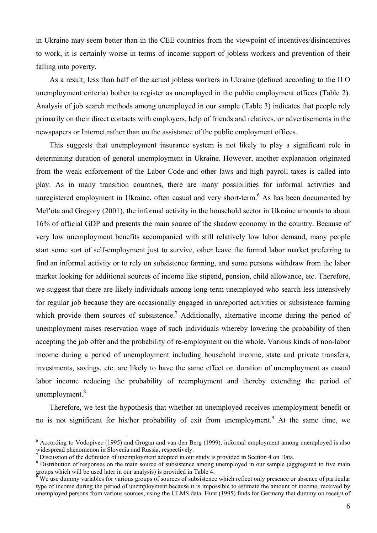in Ukraine may seem better than in the CEE countries from the viewpoint of incentives/disincentives to work, it is certainly worse in terms of income support of jobless workers and prevention of their falling into poverty.

As a result, less than half of the actual jobless workers in Ukraine (defined according to the ILO unemployment criteria) bother to register as unemployed in the public employment offices (Table 2). Analysis of job search methods among unemployed in our sample (Table 3) indicates that people rely primarily on their direct contacts with employers, help of friends and relatives, or advertisements in the newspapers or Internet rather than on the assistance of the public employment offices.

This suggests that unemployment insurance system is not likely to play a significant role in determining duration of general unemployment in Ukraine. However, another explanation originated from the weak enforcement of the Labor Code and other laws and high payroll taxes is called into play. As in many transition countries, there are many possibilities for informal activities and unregistered employment in Ukraine, often casual and very short-term.<sup>6</sup> As has been documented by Mel'ota and Gregory (2001), the informal activity in the household sector in Ukraine amounts to about 16% of official GDP and presents the main source of the shadow economy in the country. Because of very low unemployment benefits accompanied with still relatively low labor demand, many people start some sort of self-employment just to survive, other leave the formal labor market preferring to find an informal activity or to rely on subsistence farming, and some persons withdraw from the labor market looking for additional sources of income like stipend, pension, child allowance, etc. Therefore, we suggest that there are likely individuals among long-term unemployed who search less intensively for regular job because they are occasionally engaged in unreported activities or subsistence farming which provide them sources of subsistence.<sup>7</sup> Additionally, alternative income during the period of unemployment raises reservation wage of such individuals whereby lowering the probability of then accepting the job offer and the probability of re-employment on the whole. Various kinds of non-labor income during a period of unemployment including household income, state and private transfers, investments, savings, etc. are likely to have the same effect on duration of unemployment as casual labor income reducing the probability of reemployment and thereby extending the period of unemployment. $8$ 

Therefore, we test the hypothesis that whether an unemployed receives unemployment benefit or no is not significant for his/her probability of exit from unemployment.<sup>9</sup> At the same time, we

<sup>&</sup>lt;sup>6</sup> According to Vodopivec (1995) and Grogan and van den Berg (1999), informal employment among unemployed is also widespread phenomenon in Slovenia and Russia, respectively.

 $<sup>7</sup>$  Discussion of the definition of unemployment adopted in our study is provided in Section 4 on Data.</sup>

<sup>&</sup>lt;sup>8</sup> Distribution of responses on the main source of subsistence among unemployed in our sample (aggregated to five main groups which will be used later in our analysis) is provided in Table 4.

<sup>9</sup> We use dummy variables for various groups of sources of subsistence which reflect only presence or absence of particular type of income during the period of unemployment because it is impossible to estimate the amount of income, received by unemployed persons from various sources, using the ULMS data. Hunt (1995) finds for Germany that dummy on receipt of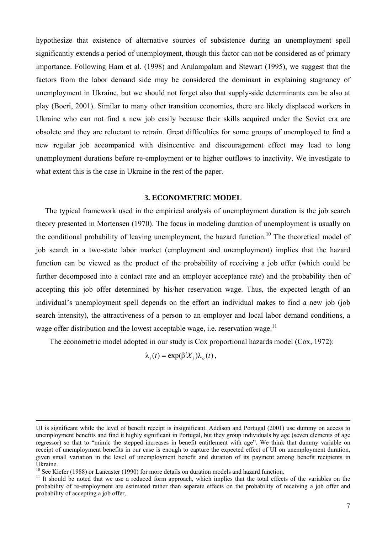hypothesize that existence of alternative sources of subsistence during an unemployment spell significantly extends a period of unemployment, though this factor can not be considered as of primary importance. Following Ham et al. (1998) and Arulampalam and Stewart (1995), we suggest that the factors from the labor demand side may be considered the dominant in explaining stagnancy of unemployment in Ukraine, but we should not forget also that supply-side determinants can be also at play (Boeri, 2001). Similar to many other transition economies, there are likely displaced workers in Ukraine who can not find a new job easily because their skills acquired under the Soviet era are obsolete and they are reluctant to retrain. Great difficulties for some groups of unemployed to find a new regular job accompanied with disincentive and discouragement effect may lead to long unemployment durations before re-employment or to higher outflows to inactivity. We investigate to what extent this is the case in Ukraine in the rest of the paper.

### **3. ECONOMETRIC MODEL**

The typical framework used in the empirical analysis of unemployment duration is the job search theory presented in Mortensen (1970). The focus in modeling duration of unemployment is usually on the conditional probability of leaving unemployment, the hazard function.<sup>10</sup> The theoretical model of job search in a two-state labor market (employment and unemployment) implies that the hazard function can be viewed as the product of the probability of receiving a job offer (which could be further decomposed into a contact rate and an employer acceptance rate) and the probability then of accepting this job offer determined by his/her reservation wage. Thus, the expected length of an individual's unemployment spell depends on the effort an individual makes to find a new job (job search intensity), the attractiveness of a person to an employer and local labor demand conditions, a wage offer distribution and the lowest acceptable wage, i.e. reservation wage.<sup>11</sup>

The econometric model adopted in our study is Cox proportional hazards model (Cox, 1972):

 $\lambda_i(t) = \exp(\beta' X_i) \lambda_0(t)$ ,

UI is significant while the level of benefit receipt is insignificant. Addison and Portugal (2001) use dummy on access to unemployment benefits and find it highly significant in Portugal, but they group individuals by age (seven elements of age regressor) so that to "mimic the stepped increases in benefit entitlement with age". We think that dummy variable on receipt of unemployment benefits in our case is enough to capture the expected effect of UI on unemployment duration, given small variation in the level of unemployment benefit and duration of its payment among benefit recipients in Ukraine.<br><sup>10</sup> See Kiefer (1988) or Lancaster (1990) for more details on duration models and hazard function.

<sup>&</sup>lt;sup>11</sup> It should be noted that we use a reduced form approach, which implies that the total effects of the variables on the probability of re-employment are estimated rather than separate effects on the probability of receiving a job offer and probability of accepting a job offer.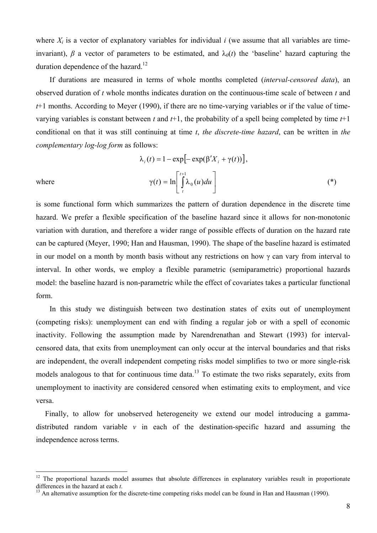where *X<sub>i</sub>* is a vector of explanatory variables for individual *i* (we assume that all variables are timeinvariant),  $\beta$  a vector of parameters to be estimated, and  $\lambda_0(t)$  the 'baseline' hazard capturing the duration dependence of the hazard.<sup>12</sup>

If durations are measured in terms of whole months completed (*interval-censored data*), an observed duration of *t* whole months indicates duration on the continuous-time scale of between *t* and *t*+1 months. According to Meyer (1990), if there are no time-varying variables or if the value of timevarying variables is constant between *t* and *t*+1, the probability of a spell being completed by time *t*+1 conditional on that it was still continuing at time *t*, *the discrete-time hazard*, can be written in *the complementary log-log form* as follows:

$$
\lambda_i(t) = 1 - \exp[-\exp(\beta'X_i + \gamma(t))],
$$
  
where  

$$
\gamma(t) = \ln\left[\int_t^{t+1} \lambda_0(u) du\right]
$$
 (\*)

 $\overline{a}$ 

is some functional form which summarizes the pattern of duration dependence in the discrete time hazard. We prefer a flexible specification of the baseline hazard since it allows for non-monotonic variation with duration, and therefore a wider range of possible effects of duration on the hazard rate can be captured (Meyer, 1990; Han and Hausman, 1990). The shape of the baseline hazard is estimated in our model on a month by month basis without any restrictions on how  $\gamma$  can vary from interval to interval. In other words, we employ a flexible parametric (semiparametric) proportional hazards model: the baseline hazard is non-parametric while the effect of covariates takes a particular functional form.

In this study we distinguish between two destination states of exits out of unemployment (competing risks): unemployment can end with finding a regular job or with a spell of economic inactivity. Following the assumption made by Narendrenathan and Stewart (1993) for intervalcensored data, that exits from unemployment can only occur at the interval boundaries and that risks are independent, the overall independent competing risks model simplifies to two or more single-risk models analogous to that for continuous time data.<sup>13</sup> To estimate the two risks separately, exits from unemployment to inactivity are considered censored when estimating exits to employment, and vice versa.

Finally, to allow for unobserved heterogeneity we extend our model introducing a gammadistributed random variable *v* in each of the destination-specific hazard and assuming the independence across terms.

<sup>&</sup>lt;sup>12</sup> The proportional hazards model assumes that absolute differences in explanatory variables result in proportionate differences in the hazard at each  $t$ .

<sup>&</sup>lt;sup>13</sup> An alternative assumption for the discrete-time competing risks model can be found in Han and Hausman (1990).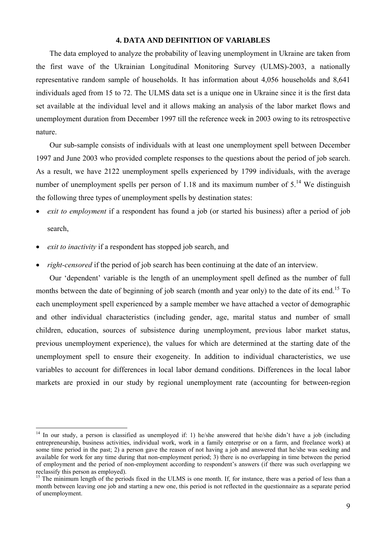### **4. DATA AND DEFINITION OF VARIABLES**

The data employed to analyze the probability of leaving unemployment in Ukraine are taken from the first wave of the Ukrainian Longitudinal Monitoring Survey (ULMS)-2003, a nationally representative random sample of households. It has information about 4,056 households and 8,641 individuals aged from 15 to 72. The ULMS data set is a unique one in Ukraine since it is the first data set available at the individual level and it allows making an analysis of the labor market flows and unemployment duration from December 1997 till the reference week in 2003 owing to its retrospective nature.

Our sub-sample consists of individuals with at least one unemployment spell between December 1997 and June 2003 who provided complete responses to the questions about the period of job search. As a result, we have 2122 unemployment spells experienced by 1799 individuals, with the average number of unemployment spells per person of 1.18 and its maximum number of  $5<sup>14</sup>$  We distinguish the following three types of unemployment spells by destination states:

- *exit to employment* if a respondent has found a job (or started his business) after a period of job search,
- *exit to inactivity* if a respondent has stopped job search, and

 $\overline{a}$ 

• *right-censored* if the period of job search has been continuing at the date of an interview.

Our 'dependent' variable is the length of an unemployment spell defined as the number of full months between the date of beginning of job search (month and year only) to the date of its end.<sup>15</sup> To each unemployment spell experienced by a sample member we have attached a vector of demographic and other individual characteristics (including gender, age, marital status and number of small children, education, sources of subsistence during unemployment, previous labor market status, previous unemployment experience), the values for which are determined at the starting date of the unemployment spell to ensure their exogeneity. In addition to individual characteristics, we use variables to account for differences in local labor demand conditions. Differences in the local labor markets are proxied in our study by regional unemployment rate (accounting for between-region

 $14$  In our study, a person is classified as unemployed if: 1) he/she answered that he/she didn't have a job (including entrepreneurship, business activities, individual work, work in a family enterprise or on a farm, and freelance work) at some time period in the past; 2) a person gave the reason of not having a job and answered that he/she was seeking and available for work for any time during that non-employment period; 3) there is no overlapping in time between the period of employment and the period of non-employment according to respondent's answers (if there was such overlapping we reclassify this person as employed).

<sup>&</sup>lt;sup>15</sup> The minimum length of the periods fixed in the ULMS is one month. If, for instance, there was a period of less than a month between leaving one job and starting a new one, this period is not reflected in the questionnaire as a separate period of unemployment.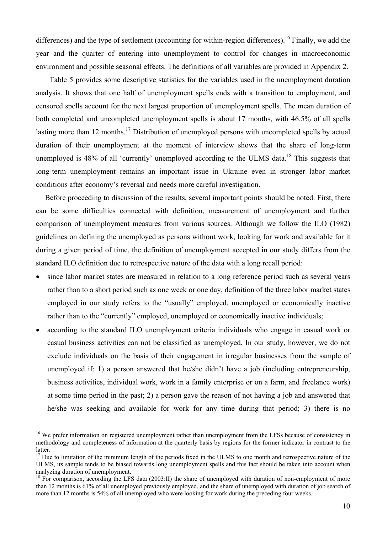differences) and the type of settlement (accounting for within-region differences).<sup>16</sup> Finally, we add the year and the quarter of entering into unemployment to control for changes in macroeconomic environment and possible seasonal effects. The definitions of all variables are provided in Appendix 2.

Table 5 provides some descriptive statistics for the variables used in the unemployment duration analysis. It shows that one half of unemployment spells ends with a transition to employment, and censored spells account for the next largest proportion of unemployment spells. The mean duration of both completed and uncompleted unemployment spells is about 17 months, with 46.5% of all spells lasting more than 12 months.<sup>17</sup> Distribution of unemployed persons with uncompleted spells by actual duration of their unemployment at the moment of interview shows that the share of long-term unemployed is 48% of all 'currently' unemployed according to the ULMS data.<sup>18</sup> This suggests that long-term unemployment remains an important issue in Ukraine even in stronger labor market conditions after economy's reversal and needs more careful investigation.

Before proceeding to discussion of the results, several important points should be noted. First, there can be some difficulties connected with definition, measurement of unemployment and further comparison of unemployment measures from various sources. Although we follow the ILO (1982) guidelines on defining the unemployed as persons without work, looking for work and available for it during a given period of time, the definition of unemployment accepted in our study differs from the standard ILO definition due to retrospective nature of the data with a long recall period:

- since labor market states are measured in relation to a long reference period such as several years rather than to a short period such as one week or one day, definition of the three labor market states employed in our study refers to the "usually" employed, unemployed or economically inactive rather than to the "currently" employed, unemployed or economically inactive individuals;
- according to the standard ILO unemployment criteria individuals who engage in casual work or casual business activities can not be classified as unemployed. In our study, however, we do not exclude individuals on the basis of their engagement in irregular businesses from the sample of unemployed if: 1) a person answered that he/she didn't have a job (including entrepreneurship, business activities, individual work, work in a family enterprise or on a farm, and freelance work) at some time period in the past; 2) a person gave the reason of not having a job and answered that he/she was seeking and available for work for any time during that period; 3) there is no

<sup>&</sup>lt;sup>16</sup> We prefer information on registered unemployment rather than unemployment from the LFSs because of consistency in methodology and completeness of information at the quarterly basis by regions for the former indicator in contrast to the latter.

 $17$  Due to limitation of the minimum length of the periods fixed in the ULMS to one month and retrospective nature of the ULMS, its sample tends to be biased towards long unemployment spells and this fact should be taken into account when analyzing duration of unemployment.

<sup>&</sup>lt;sup>18</sup> For comparison, according the LFS data (2003:II) the share of unemployed with duration of non-employment of more than 12 months is 61% of all unemployed previously employed, and the share of unemployed with duration of job search of more than 12 months is 54% of all unemployed who were looking for work during the preceding four weeks.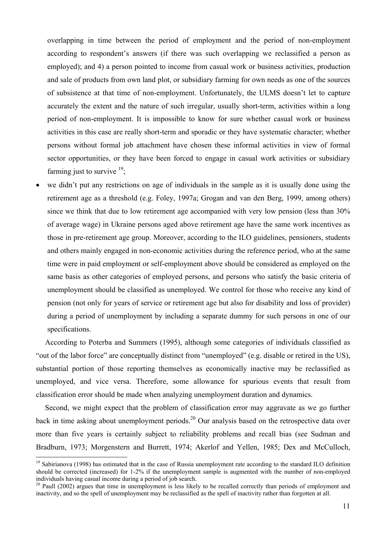overlapping in time between the period of employment and the period of non-employment according to respondent's answers (if there was such overlapping we reclassified a person as employed); and 4) a person pointed to income from casual work or business activities, production and sale of products from own land plot, or subsidiary farming for own needs as one of the sources of subsistence at that time of non-employment. Unfortunately, the ULMS doesn't let to capture accurately the extent and the nature of such irregular, usually short-term, activities within a long period of non-employment. It is impossible to know for sure whether casual work or business activities in this case are really short-term and sporadic or they have systematic character; whether persons without formal job attachment have chosen these informal activities in view of formal sector opportunities, or they have been forced to engage in casual work activities or subsidiary farming just to survive  $^{19}$ ;

we didn't put any restrictions on age of individuals in the sample as it is usually done using the retirement age as a threshold (e.g. Foley, 1997a; Grogan and van den Berg, 1999, among others) since we think that due to low retirement age accompanied with very low pension (less than 30% of average wage) in Ukraine persons aged above retirement age have the same work incentives as those in pre-retirement age group. Moreover, according to the ILO guidelines, pensioners, students and others mainly engaged in non-economic activities during the reference period, who at the same time were in paid employment or self-employment above should be considered as employed on the same basis as other categories of employed persons, and persons who satisfy the basic criteria of unemployment should be classified as unemployed. We control for those who receive any kind of pension (not only for years of service or retirement age but also for disability and loss of provider) during a period of unemployment by including a separate dummy for such persons in one of our specifications.

According to Poterba and Summers (1995), although some categories of individuals classified as "out of the labor force" are conceptually distinct from "unemployed" (e.g. disable or retired in the US), substantial portion of those reporting themselves as economically inactive may be reclassified as unemployed, and vice versa. Therefore, some allowance for spurious events that result from classification error should be made when analyzing unemployment duration and dynamics.

Second, we might expect that the problem of classification error may aggravate as we go further back in time asking about unemployment periods.<sup>20</sup> Our analysis based on the retrospective data over more than five years is certainly subject to reliability problems and recall bias (see Sudman and Bradburn, 1973; Morgenstern and Burrett, 1974; Akerlof and Yellen, 1985; Dex and McCulloch,

 $19$  Sabirianova (1998) has estimated that in the case of Russia unemployment rate according to the standard ILO definition should be corrected (increased) for 1-2% if the unemployment sample is augmented with the number of non-employed individuals having casual income during a period of job search.

<sup>&</sup>lt;sup>20</sup> Paull (2002) argues that time in unemployment is less likely to be recalled correctly than periods of employment and inactivity, and so the spell of unemployment may be reclassified as the spell of inactivity rather than forgotten at all.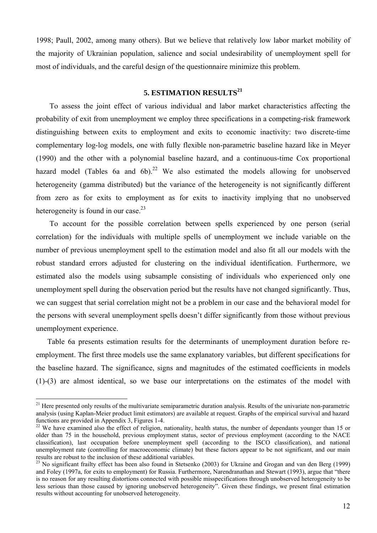1998; Paull, 2002, among many others). But we believe that relatively low labor market mobility of the majority of Ukrainian population, salience and social undesirability of unemployment spell for most of individuals, and the careful design of the questionnaire minimize this problem.

### **5. ESTIMATION RESULTS<sup>21</sup>**

To assess the joint effect of various individual and labor market characteristics affecting the probability of exit from unemployment we employ three specifications in a competing-risk framework distinguishing between exits to employment and exits to economic inactivity: two discrete-time complementary log-log models, one with fully flexible non-parametric baseline hazard like in Meyer (1990) and the other with a polynomial baseline hazard, and a continuous-time Cox proportional hazard model (Tables 6a and 6b).<sup>22</sup> We also estimated the models allowing for unobserved heterogeneity (gamma distributed) but the variance of the heterogeneity is not significantly different from zero as for exits to employment as for exits to inactivity implying that no unobserved heterogeneity is found in our case.<sup>23</sup>

To account for the possible correlation between spells experienced by one person (serial correlation) for the individuals with multiple spells of unemployment we include variable on the number of previous unemployment spell to the estimation model and also fit all our models with the robust standard errors adjusted for clustering on the individual identification. Furthermore, we estimated also the models using subsample consisting of individuals who experienced only one unemployment spell during the observation period but the results have not changed significantly. Thus, we can suggest that serial correlation might not be a problem in our case and the behavioral model for the persons with several unemployment spells doesn't differ significantly from those without previous unemployment experience.

Table 6a presents estimation results for the determinants of unemployment duration before reemployment. The first three models use the same explanatory variables, but different specifications for the baseline hazard. The significance, signs and magnitudes of the estimated coefficients in models (1)-(3) are almost identical, so we base our interpretations on the estimates of the model with

<sup>&</sup>lt;sup>21</sup> Here presented only results of the multivariate semiparametric duration analysis. Results of the univariate non-parametric analysis (using Kaplan-Meier product limit estimators) are available at request. Graphs of the empirical survival and hazard functions are provided in Appendix 3, Figures 1-4.

<sup>&</sup>lt;sup>22</sup> We have examined also the effect of religion, nationality, health status, the number of dependants younger than 15 or older than 75 in the household, previous employment status, sector of previous employment (according to the NACE classification), last occupation before unemployment spell (according to the ISCO classification), and national unemployment rate (controlling for macroeconomic climate) but these factors appear to be not significant, and our main results are robust to the inclusion of these additional variables.<br><sup>23</sup> No significant frailty effect has been also found in Stetsenko (2003) for Ukraine and Grogan and van den Berg (1999)

and Foley (1997a, for exits to employment) for Russia. Furthermore, Narendranathan and Stewart (1993), argue that "there is no reason for any resulting distortions connected with possible misspecifications through unobserved heterogeneity to be less serious than those caused by ignoring unobserved heterogeneity". Given these findings, we present final estimation results without accounting for unobserved heterogeneity.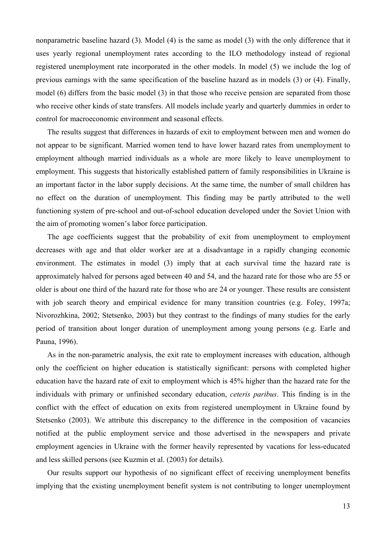nonparametric baseline hazard (3). Model (4) is the same as model (3) with the only difference that it uses yearly regional unemployment rates according to the ILO methodology instead of regional registered unemployment rate incorporated in the other models. In model (5) we include the log of previous earnings with the same specification of the baseline hazard as in models (3) or (4). Finally, model (6) differs from the basic model (3) in that those who receive pension are separated from those who receive other kinds of state transfers. All models include yearly and quarterly dummies in order to control for macroeconomic environment and seasonal effects.

The results suggest that differences in hazards of exit to employment between men and women do not appear to be significant. Married women tend to have lower hazard rates from unemployment to employment although married individuals as a whole are more likely to leave unemployment to employment. This suggests that historically established pattern of family responsibilities in Ukraine is an important factor in the labor supply decisions. At the same time, the number of small children has no effect on the duration of unemployment. This finding may be partly attributed to the well functioning system of pre-school and out-of-school education developed under the Soviet Union with the aim of promoting women's labor force participation.

The age coefficients suggest that the probability of exit from unemployment to employment decreases with age and that older worker are at a disadvantage in a rapidly changing economic environment. The estimates in model (3) imply that at each survival time the hazard rate is approximately halved for persons aged between 40 and 54, and the hazard rate for those who are 55 or older is about one third of the hazard rate for those who are 24 or younger. These results are consistent with job search theory and empirical evidence for many transition countries (e.g. Foley, 1997a; Nivorozhkina, 2002; Stetsenko, 2003) but they contrast to the findings of many studies for the early period of transition about longer duration of unemployment among young persons (e.g. Earle and Pauna, 1996).

As in the non-parametric analysis, the exit rate to employment increases with education, although only the coefficient on higher education is statistically significant: persons with completed higher education have the hazard rate of exit to employment which is 45% higher than the hazard rate for the individuals with primary or unfinished secondary education, *ceteris paribus*. This finding is in the conflict with the effect of education on exits from registered unemployment in Ukraine found by Stetsenko (2003). We attribute this discrepancy to the difference in the composition of vacancies notified at the public employment service and those advertised in the newspapers and private employment agencies in Ukraine with the former heavily represented by vacations for less-educated and less skilled persons (see Kuzmin et al. (2003) for details).

Our results support our hypothesis of no significant effect of receiving unemployment benefits implying that the existing unemployment benefit system is not contributing to longer unemployment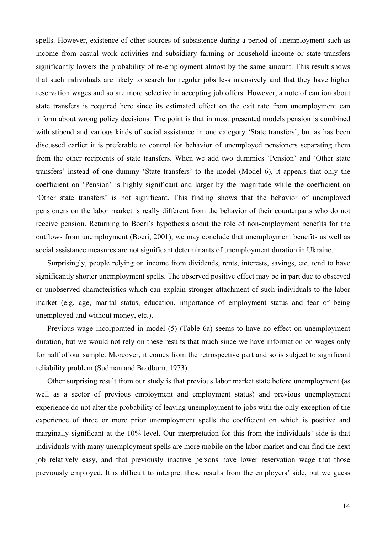spells. However, existence of other sources of subsistence during a period of unemployment such as income from casual work activities and subsidiary farming or household income or state transfers significantly lowers the probability of re-employment almost by the same amount. This result shows that such individuals are likely to search for regular jobs less intensively and that they have higher reservation wages and so are more selective in accepting job offers. However, a note of caution about state transfers is required here since its estimated effect on the exit rate from unemployment can inform about wrong policy decisions. The point is that in most presented models pension is combined with stipend and various kinds of social assistance in one category 'State transfers', but as has been discussed earlier it is preferable to control for behavior of unemployed pensioners separating them from the other recipients of state transfers. When we add two dummies 'Pension' and 'Other state transfers' instead of one dummy 'State transfers' to the model (Model 6), it appears that only the coefficient on 'Pension' is highly significant and larger by the magnitude while the coefficient on 'Other state transfers' is not significant. This finding shows that the behavior of unemployed pensioners on the labor market is really different from the behavior of their counterparts who do not receive pension. Returning to Boeri's hypothesis about the role of non-employment benefits for the outflows from unemployment (Boeri, 2001), we may conclude that unemployment benefits as well as social assistance measures are not significant determinants of unemployment duration in Ukraine.

Surprisingly, people relying on income from dividends, rents, interests, savings, etc. tend to have significantly shorter unemployment spells. The observed positive effect may be in part due to observed or unobserved characteristics which can explain stronger attachment of such individuals to the labor market (e.g. age, marital status, education, importance of employment status and fear of being unemployed and without money, etc.).

Previous wage incorporated in model (5) (Table 6a) seems to have no effect on unemployment duration, but we would not rely on these results that much since we have information on wages only for half of our sample. Moreover, it comes from the retrospective part and so is subject to significant reliability problem (Sudman and Bradburn, 1973).

Other surprising result from our study is that previous labor market state before unemployment (as well as a sector of previous employment and employment status) and previous unemployment experience do not alter the probability of leaving unemployment to jobs with the only exception of the experience of three or more prior unemployment spells the coefficient on which is positive and marginally significant at the 10% level. Our interpretation for this from the individuals' side is that individuals with many unemployment spells are more mobile on the labor market and can find the next job relatively easy, and that previously inactive persons have lower reservation wage that those previously employed. It is difficult to interpret these results from the employers' side, but we guess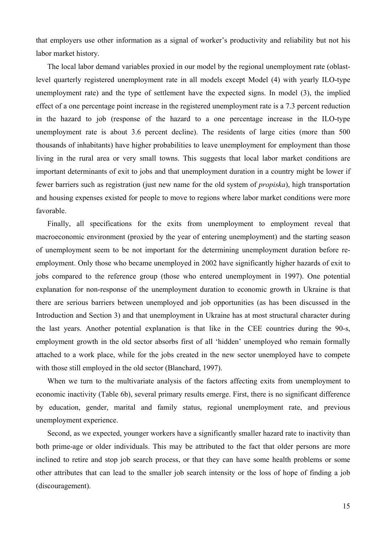that employers use other information as a signal of worker's productivity and reliability but not his labor market history.

The local labor demand variables proxied in our model by the regional unemployment rate (oblastlevel quarterly registered unemployment rate in all models except Model (4) with yearly ILO-type unemployment rate) and the type of settlement have the expected signs. In model (3), the implied effect of a one percentage point increase in the registered unemployment rate is a 7.3 percent reduction in the hazard to job (response of the hazard to a one percentage increase in the ILO-type unemployment rate is about 3.6 percent decline). The residents of large cities (more than 500 thousands of inhabitants) have higher probabilities to leave unemployment for employment than those living in the rural area or very small towns. This suggests that local labor market conditions are important determinants of exit to jobs and that unemployment duration in a country might be lower if fewer barriers such as registration (just new name for the old system of *propiska*), high transportation and housing expenses existed for people to move to regions where labor market conditions were more favorable.

Finally, all specifications for the exits from unemployment to employment reveal that macroeconomic environment (proxied by the year of entering unemployment) and the starting season of unemployment seem to be not important for the determining unemployment duration before reemployment. Only those who became unemployed in 2002 have significantly higher hazards of exit to jobs compared to the reference group (those who entered unemployment in 1997). One potential explanation for non-response of the unemployment duration to economic growth in Ukraine is that there are serious barriers between unemployed and job opportunities (as has been discussed in the Introduction and Section 3) and that unemployment in Ukraine has at most structural character during the last years. Another potential explanation is that like in the CEE countries during the 90-s, employment growth in the old sector absorbs first of all 'hidden' unemployed who remain formally attached to a work place, while for the jobs created in the new sector unemployed have to compete with those still employed in the old sector (Blanchard, 1997).

When we turn to the multivariate analysis of the factors affecting exits from unemployment to economic inactivity (Table 6b), several primary results emerge. First, there is no significant difference by education, gender, marital and family status, regional unemployment rate, and previous unemployment experience.

Second, as we expected, younger workers have a significantly smaller hazard rate to inactivity than both prime-age or older individuals. This may be attributed to the fact that older persons are more inclined to retire and stop job search process, or that they can have some health problems or some other attributes that can lead to the smaller job search intensity or the loss of hope of finding a job (discouragement).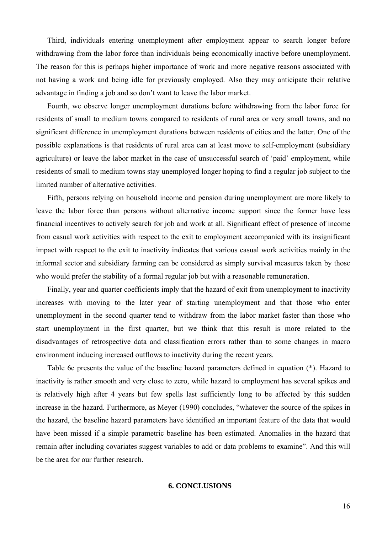Third, individuals entering unemployment after employment appear to search longer before withdrawing from the labor force than individuals being economically inactive before unemployment. The reason for this is perhaps higher importance of work and more negative reasons associated with not having a work and being idle for previously employed. Also they may anticipate their relative advantage in finding a job and so don't want to leave the labor market.

Fourth, we observe longer unemployment durations before withdrawing from the labor force for residents of small to medium towns compared to residents of rural area or very small towns, and no significant difference in unemployment durations between residents of cities and the latter. One of the possible explanations is that residents of rural area can at least move to self-employment (subsidiary agriculture) or leave the labor market in the case of unsuccessful search of 'paid' employment, while residents of small to medium towns stay unemployed longer hoping to find a regular job subject to the limited number of alternative activities.

Fifth, persons relying on household income and pension during unemployment are more likely to leave the labor force than persons without alternative income support since the former have less financial incentives to actively search for job and work at all. Significant effect of presence of income from casual work activities with respect to the exit to employment accompanied with its insignificant impact with respect to the exit to inactivity indicates that various casual work activities mainly in the informal sector and subsidiary farming can be considered as simply survival measures taken by those who would prefer the stability of a formal regular job but with a reasonable remuneration.

Finally, year and quarter coefficients imply that the hazard of exit from unemployment to inactivity increases with moving to the later year of starting unemployment and that those who enter unemployment in the second quarter tend to withdraw from the labor market faster than those who start unemployment in the first quarter, but we think that this result is more related to the disadvantages of retrospective data and classification errors rather than to some changes in macro environment inducing increased outflows to inactivity during the recent years.

Table 6c presents the value of the baseline hazard parameters defined in equation (\*). Hazard to inactivity is rather smooth and very close to zero, while hazard to employment has several spikes and is relatively high after 4 years but few spells last sufficiently long to be affected by this sudden increase in the hazard. Furthermore, as Meyer (1990) concludes, "whatever the source of the spikes in the hazard, the baseline hazard parameters have identified an important feature of the data that would have been missed if a simple parametric baseline has been estimated. Anomalies in the hazard that remain after including covariates suggest variables to add or data problems to examine". And this will be the area for our further research.

### **6. CONCLUSIONS**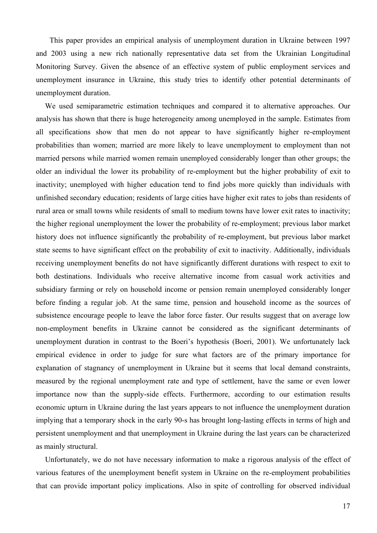This paper provides an empirical analysis of unemployment duration in Ukraine between 1997 and 2003 using a new rich nationally representative data set from the Ukrainian Longitudinal Monitoring Survey. Given the absence of an effective system of public employment services and unemployment insurance in Ukraine, this study tries to identify other potential determinants of unemployment duration.

We used semiparametric estimation techniques and compared it to alternative approaches. Our analysis has shown that there is huge heterogeneity among unemployed in the sample. Estimates from all specifications show that men do not appear to have significantly higher re-employment probabilities than women; married are more likely to leave unemployment to employment than not married persons while married women remain unemployed considerably longer than other groups; the older an individual the lower its probability of re-employment but the higher probability of exit to inactivity; unemployed with higher education tend to find jobs more quickly than individuals with unfinished secondary education; residents of large cities have higher exit rates to jobs than residents of rural area or small towns while residents of small to medium towns have lower exit rates to inactivity; the higher regional unemployment the lower the probability of re-employment; previous labor market history does not influence significantly the probability of re-employment, but previous labor market state seems to have significant effect on the probability of exit to inactivity. Additionally, individuals receiving unemployment benefits do not have significantly different durations with respect to exit to both destinations. Individuals who receive alternative income from casual work activities and subsidiary farming or rely on household income or pension remain unemployed considerably longer before finding a regular job. At the same time, pension and household income as the sources of subsistence encourage people to leave the labor force faster. Our results suggest that on average low non-employment benefits in Ukraine cannot be considered as the significant determinants of unemployment duration in contrast to the Boeri's hypothesis (Boeri, 2001). We unfortunately lack empirical evidence in order to judge for sure what factors are of the primary importance for explanation of stagnancy of unemployment in Ukraine but it seems that local demand constraints, measured by the regional unemployment rate and type of settlement, have the same or even lower importance now than the supply-side effects. Furthermore, according to our estimation results economic upturn in Ukraine during the last years appears to not influence the unemployment duration implying that a temporary shock in the early 90-s has brought long-lasting effects in terms of high and persistent unemployment and that unemployment in Ukraine during the last years can be characterized as mainly structural.

Unfortunately, we do not have necessary information to make a rigorous analysis of the effect of various features of the unemployment benefit system in Ukraine on the re-employment probabilities that can provide important policy implications. Also in spite of controlling for observed individual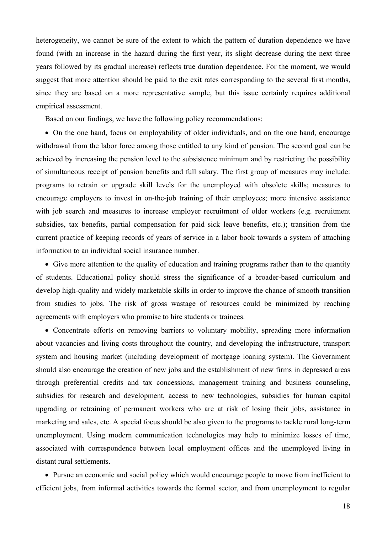heterogeneity, we cannot be sure of the extent to which the pattern of duration dependence we have found (with an increase in the hazard during the first year, its slight decrease during the next three years followed by its gradual increase) reflects true duration dependence. For the moment, we would suggest that more attention should be paid to the exit rates corresponding to the several first months, since they are based on a more representative sample, but this issue certainly requires additional empirical assessment.

Based on our findings, we have the following policy recommendations:

• On the one hand, focus on employability of older individuals, and on the one hand, encourage withdrawal from the labor force among those entitled to any kind of pension. The second goal can be achieved by increasing the pension level to the subsistence minimum and by restricting the possibility of simultaneous receipt of pension benefits and full salary. The first group of measures may include: programs to retrain or upgrade skill levels for the unemployed with obsolete skills; measures to encourage employers to invest in on-the-job training of their employees; more intensive assistance with job search and measures to increase employer recruitment of older workers (e.g. recruitment subsidies, tax benefits, partial compensation for paid sick leave benefits, etc.); transition from the current practice of keeping records of years of service in a labor book towards a system of attaching information to an individual social insurance number.

• Give more attention to the quality of education and training programs rather than to the quantity of students. Educational policy should stress the significance of a broader-based curriculum and develop high-quality and widely marketable skills in order to improve the chance of smooth transition from studies to jobs. The risk of gross wastage of resources could be minimized by reaching agreements with employers who promise to hire students or trainees.

• Concentrate efforts on removing barriers to voluntary mobility, spreading more information about vacancies and living costs throughout the country, and developing the infrastructure, transport system and housing market (including development of mortgage loaning system). The Government should also encourage the creation of new jobs and the establishment of new firms in depressed areas through preferential credits and tax concessions, management training and business counseling, subsidies for research and development, access to new technologies, subsidies for human capital upgrading or retraining of permanent workers who are at risk of losing their jobs, assistance in marketing and sales, etc. A special focus should be also given to the programs to tackle rural long-term unemployment. Using modern communication technologies may help to minimize losses of time, associated with correspondence between local employment offices and the unemployed living in distant rural settlements.

• Pursue an economic and social policy which would encourage people to move from inefficient to efficient jobs, from informal activities towards the formal sector, and from unemployment to regular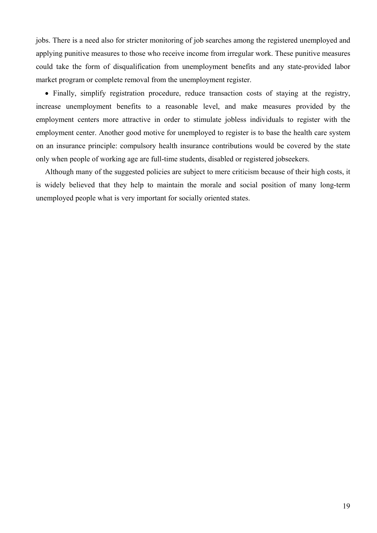jobs. There is a need also for stricter monitoring of job searches among the registered unemployed and applying punitive measures to those who receive income from irregular work. These punitive measures could take the form of disqualification from unemployment benefits and any state-provided labor market program or complete removal from the unemployment register.

• Finally, simplify registration procedure, reduce transaction costs of staying at the registry, increase unemployment benefits to a reasonable level, and make measures provided by the employment centers more attractive in order to stimulate jobless individuals to register with the employment center. Another good motive for unemployed to register is to base the health care system on an insurance principle: compulsory health insurance contributions would be covered by the state only when people of working age are full-time students, disabled or registered jobseekers.

Although many of the suggested policies are subject to mere criticism because of their high costs, it is widely believed that they help to maintain the morale and social position of many long-term unemployed people what is very important for socially oriented states.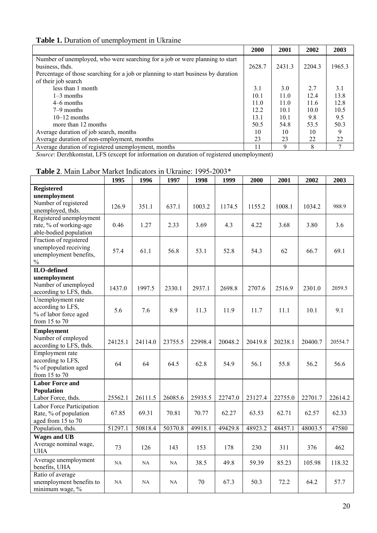# **Table 1.** Duration of unemployment in Ukraine

|                                                                                   | 2000   | 2001   | 2002   | 2003   |
|-----------------------------------------------------------------------------------|--------|--------|--------|--------|
| Number of unemployed, who were searching for a job or were planning to start      |        |        |        |        |
| business, thds.                                                                   | 2628.7 | 2431.3 | 2204.3 | 1965.3 |
| Percentage of those searching for a job or planning to start business by duration |        |        |        |        |
| of their job search                                                               |        |        |        |        |
| less than 1 month                                                                 | 3.1    | 3.0    | 2.7    | 3.1    |
| $1-3$ months                                                                      | 10.1   | 11.0   | 12.4   | 13.8   |
| 4–6 months                                                                        | 11.0   | 11.0   | 11.6   | 12.8   |
| $7-9$ months                                                                      | 12.2   | 10.1   | 10.0   | 10.5   |
| $10-12$ months                                                                    | 13.1   | 10.1   | 9.8    | 9.5    |
| more than 12 months                                                               | 50.5   | 54.8   | 53.5   | 50.3   |
| Average duration of job search, months                                            | 10     | 10     | 10     | 9      |
| Average duration of non-employment, months                                        | 23     | 23     | 22     | 22     |
| Average duration of registered unemployment, months                               | 11     | 9      | 8      | 7      |

*Source*: Derzhkomstat, LFS (except for information on duration of registered unemployment)

| <b>Table 2.</b> Main Labor Market Indicators in Ukraine: 1995-2003*                       |         |         |         |         |         |         |         |         |         |  |
|-------------------------------------------------------------------------------------------|---------|---------|---------|---------|---------|---------|---------|---------|---------|--|
|                                                                                           | 1995    | 1996    | 1997    | 1998    | 1999    | 2000    | 2001    | 2002    | 2003    |  |
| <b>Registered</b><br>unemployment<br>Number of registered                                 |         |         |         |         |         |         |         |         |         |  |
| unemployed, thds.                                                                         | 126.9   | 351.1   | 637.1   | 1003.2  | 1174.5  | 1155.2  | 1008.1  | 1034.2  | 988.9   |  |
| Registered unemployment<br>rate, % of working-age<br>able-bodied population               | 0.46    | 1.27    | 2.33    | 3.69    | 4.3     | 4.22    | 3.68    | 3.80    | 3.6     |  |
| Fraction of registered<br>unemployed receiving<br>unemployment benefits,<br>$\frac{0}{0}$ | 57.4    | 61.1    | 56.8    | 53.1    | 52.8    | 54.3    | 62      | 66.7    | 69.1    |  |
| <b>ILO-defined</b>                                                                        |         |         |         |         |         |         |         |         |         |  |
| unemployment<br>Number of unemployed<br>according to LFS, thds.                           | 1437.0  | 1997.5  | 2330.1  | 2937.1  | 2698.8  | 2707.6  | 2516.9  | 2301.0  | 2059.5  |  |
| Unemployment rate<br>according to LFS,<br>% of labor force aged<br>from 15 to 70          | 5.6     | 7.6     | 8.9     | 11.3    | 11.9    | 11.7    | 11.1    | 10.1    | 9.1     |  |
| <b>Employment</b><br>Number of employed<br>according to LFS, thds.                        | 24125.1 | 24114.0 | 23755.5 | 22998.4 | 20048.2 | 20419.8 | 20238.1 | 20400.7 | 20554.7 |  |
| Employment rate<br>according to LFS,<br>% of population aged<br>from $15$ to $70$         | 64      | 64      | 64.5    | 62.8    | 54.9    | 56.1    | 55.8    | 56.2    | 56.6    |  |
| <b>Labor Force and</b>                                                                    |         |         |         |         |         |         |         |         |         |  |
| Population<br>Labor Force, thds.                                                          | 25562.1 | 26111.5 | 26085.6 | 25935.5 | 22747.0 | 23127.4 | 22755.0 | 22701.7 | 22614.2 |  |
| Labor Force Participation<br>Rate, % of population<br>aged from 15 to 70                  | 67.85   | 69.31   | 70.81   | 70.77   | 62.27   | 63.53   | 62.71   | 62.57   | 62.33   |  |
| Population, thds.                                                                         | 51297.1 | 50818.4 | 50370.8 | 49918.1 | 49429.8 | 48923.2 | 48457.1 | 48003.5 | 47580   |  |
| <b>Wages and UB</b><br>Average nominal wage,<br><b>UHA</b>                                | 73      | 126     | 143     | 153     | 178     | 230     | 311     | 376     | 462     |  |
| Average unemployment<br>benefits, UHA                                                     | NA      | NA      | NA      | 38.5    | 49.8    | 59.39   | 85.23   | 105.98  | 118.32  |  |
| Ratio of average<br>unemployment benefits to<br>minimum wage, %                           | NA      | NA      | NA      | 70      | 67.3    | 50.3    | 72.2    | 64.2    | 57.7    |  |

# **Table 2**. Main Labor Market Indicators in Ukraine: 1995-2003\*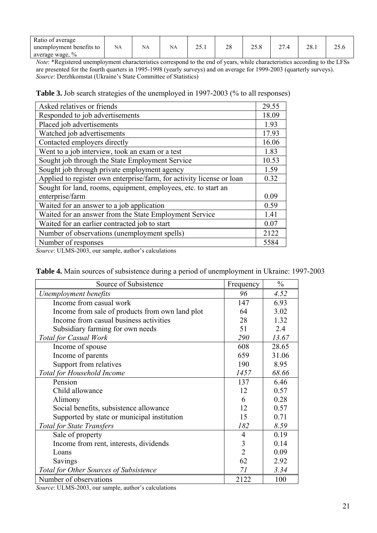| Ratio of average               |    |    |                    |       |    |                      |        |                    |      |
|--------------------------------|----|----|--------------------|-------|----|----------------------|--------|--------------------|------|
| unemployment benefits to       | NA | NA | $\mathbf{r}$<br>ΝA | ∠J. 1 | 28 | $\sim$ $\sim$ $\sim$ | $\sim$ | no<br>$\angle 0.1$ | 20.U |
| $\frac{0}{0}$<br>average wage, |    |    |                    |       |    |                      |        |                    |      |

*Note*: \*Registered unemployment characteristics correspond to the end of years, while characteristics according to the LFSs are presented for the fourth quarters in 1995-1998 (yearly surveys) and on average for 1999-2003 (quarterly surveys). *Source*: Derzhkomstat (Ukraine's State Committee of Statistics)

**Table 3.** Job search strategies of the unemployed in 1997-2003 (% to all responses)

| Asked relatives or friends                                            | 29.55 |
|-----------------------------------------------------------------------|-------|
| Responded to job advertisements                                       | 18.09 |
| Placed job advertisements                                             | 1.93  |
| Watched job advertisements                                            | 17.93 |
| Contacted employers directly                                          | 16.06 |
| Went to a job interview, took an exam or a test                       | 1.83  |
| Sought job through the State Employment Service                       | 10.53 |
| Sought job through private employment agency                          | 1.59  |
| Applied to register own enterprise/farm, for activity license or loan | 0.32  |
| Sought for land, rooms, equipment, employees, etc. to start an        |       |
| enterprise/farm                                                       | 0.09  |
| Waited for an answer to a job application                             | 0.59  |
| Waited for an answer from the State Employment Service                | 1.41  |
| Waited for an earlier contracted job to start                         | 0.07  |
| Number of observations (unemployment spells)                          | 2122  |
| Number of responses                                                   | 5584  |

*Source*: ULMS-2003, our sample, author's calculations

| Source of Subsistence                           | Frequency      | $\frac{0}{0}$ |
|-------------------------------------------------|----------------|---------------|
| Unemployment benefits                           | 96             | 4.52          |
| Income from casual work                         | 147            | 6.93          |
| Income from sale of products from own land plot | 64             | 3.02          |
| Income from casual business activities          | 28             | 1.32          |
| Subsidiary farming for own needs                | 51             | 2.4           |
| <b>Total for Casual Work</b>                    | 290            | 13.67         |
| Income of spouse                                | 608            | 28.65         |
| Income of parents                               | 659            | 31.06         |
| Support from relatives                          | 190            | 8.95          |
| Total for Household Income                      | 1457           | 68.66         |
| Pension                                         | 137            | 6.46          |
| Child allowance                                 | 12             | 0.57          |
| Alimony                                         | 6              | 0.28          |
| Social benefits, subsistence allowance          | 12             | 0.57          |
| Supported by state or municipal institution     | 15             | 0.71          |
| <b>Total for State Transfers</b>                | 182            | 8.59          |
| Sale of property                                | $\overline{4}$ | 0.19          |
| Income from rent, interests, dividends          | 3              | 0.14          |
| Loans                                           | $\overline{2}$ | 0.09          |
| Savings                                         | 62             | 2.92          |
| Total for Other Sources of Subsistence          | 71             | 3.34          |
| Number of observations                          | 2122           | 100           |

| Table 4. Main sources of subsistence during a period of unemployment in Ukraine: 1997-2003 |  |  |  |  |  |
|--------------------------------------------------------------------------------------------|--|--|--|--|--|
|--------------------------------------------------------------------------------------------|--|--|--|--|--|

*Source*: ULMS-2003, our sample, author's calculations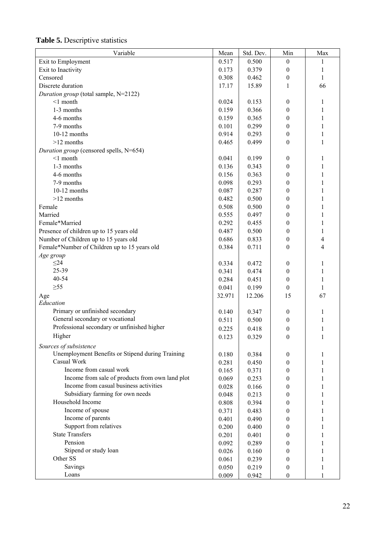| Variable                                         | Mean   | Std. Dev. | Min              | Max          |
|--------------------------------------------------|--------|-----------|------------------|--------------|
| Exit to Employment                               | 0.517  | 0.500     | $\boldsymbol{0}$ | 1            |
| Exit to Inactivity                               | 0.173  | 0.379     | $\boldsymbol{0}$ | $\mathbf{1}$ |
| Censored                                         | 0.308  | 0.462     | $\boldsymbol{0}$ | 1            |
| Discrete duration                                | 17.17  | 15.89     | $\mathbf{1}$     | 66           |
| Duration group (total sample, N=2122)            |        |           |                  |              |
| $<$ 1 month                                      | 0.024  | 0.153     | $\boldsymbol{0}$ | 1            |
| 1-3 months                                       | 0.159  | 0.366     | $\boldsymbol{0}$ | 1            |
| 4-6 months                                       | 0.159  | 0.365     | 0                | 1            |
| 7-9 months                                       | 0.101  | 0.299     | 0                | 1            |
| 10-12 months                                     | 0.914  | 0.293     | $\boldsymbol{0}$ | 1            |
| $>12$ months                                     | 0.465  | 0.499     | $\boldsymbol{0}$ | 1            |
| Duration group (censored spells, N=654)          |        |           |                  |              |
| $<$ 1 month                                      | 0.041  | 0.199     | $\boldsymbol{0}$ | 1            |
| 1-3 months                                       | 0.136  | 0.343     | $\theta$         | 1            |
| 4-6 months                                       | 0.156  | 0.363     | $\boldsymbol{0}$ | 1            |
| 7-9 months                                       | 0.098  | 0.293     | 0                | 1            |
| 10-12 months                                     | 0.087  | 0.287     | $\boldsymbol{0}$ | 1            |
| $>12$ months                                     | 0.482  | 0.500     | $\boldsymbol{0}$ | 1            |
| Female                                           | 0.508  | 0.500     | $\boldsymbol{0}$ | 1            |
| Married                                          | 0.555  | 0.497     | $\boldsymbol{0}$ | 1            |
| Female*Married                                   | 0.292  | 0.455     | $\boldsymbol{0}$ | 1            |
| Presence of children up to 15 years old          | 0.487  | 0.500     | $\boldsymbol{0}$ | 1            |
| Number of Children up to 15 years old            | 0.686  | 0.833     | $\boldsymbol{0}$ | 4            |
| Female*Number of Children up to 15 years old     | 0.384  | 0.711     | $\boldsymbol{0}$ | 4            |
| Age group                                        |        |           |                  |              |
| $\leq$ 24                                        | 0.334  | 0.472     | $\boldsymbol{0}$ | $\mathbf{1}$ |
| 25-39                                            | 0.341  | 0.474     | $\boldsymbol{0}$ | 1            |
| 40-54                                            | 0.284  | 0.451     | $\boldsymbol{0}$ | $\mathbf{1}$ |
| $\geq 55$                                        | 0.041  | 0.199     | $\boldsymbol{0}$ | $\mathbf{1}$ |
|                                                  | 32.971 | 12.206    | 15               | 67           |
| Age<br>Education                                 |        |           |                  |              |
| Primary or unfinished secondary                  | 0.140  | 0.347     | $\boldsymbol{0}$ | 1            |
| General secondary or vocational                  | 0.511  | 0.500     | $\boldsymbol{0}$ | $\mathbf{1}$ |
| Professional secondary or unfinished higher      |        |           |                  |              |
| Higher                                           | 0.225  | 0.418     | $\boldsymbol{0}$ | 1            |
|                                                  | 0.123  | 0.329     | $\theta$         | 1            |
| Sources of subsistence                           |        |           |                  |              |
| Unemployment Benefits or Stipend during Training | 0.180  | 0.384     | $\boldsymbol{0}$ | 1            |
| Casual Work                                      | 0.281  | 0.450     | 0                | 1            |
| Income from casual work                          | 0.165  | 0.371     | 0                | 1            |
| Income from sale of products from own land plot  | 0.069  | 0.253     | 0                | 1            |
| Income from casual business activities           | 0.028  | 0.166     | 0                | 1            |
| Subsidiary farming for own needs                 | 0.048  | 0.213     | 0                | 1            |
| Household Income                                 | 0.808  | 0.394     | 0                | 1            |
| Income of spouse                                 | 0.371  | 0.483     | 0                | 1            |
| Income of parents                                | 0.401  | 0.490     | 0                | 1            |
| Support from relatives                           | 0.200  | 0.400     | 0                | 1            |
| <b>State Transfers</b>                           | 0.201  | 0.401     | $\boldsymbol{0}$ | 1            |
| Pension                                          | 0.092  | 0.289     | 0                | 1            |
| Stipend or study loan                            | 0.026  | 0.160     | 0                | 1            |
| Other SS                                         | 0.061  | 0.239     | 0                | 1            |
| Savings                                          | 0.050  | 0.219     | $\boldsymbol{0}$ | 1            |
| Loans                                            | 0.009  | 0.942     | $\boldsymbol{0}$ | 1            |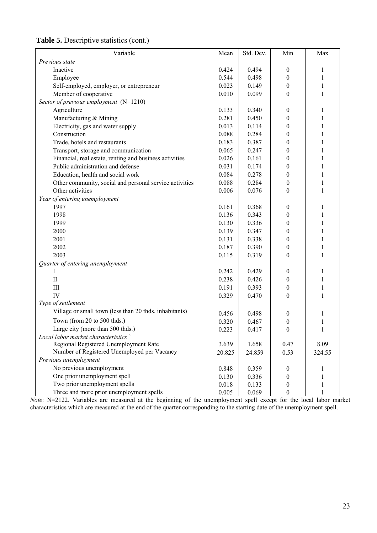| Variable                                                | Mean   | Std. Dev. | Min              | Max          |
|---------------------------------------------------------|--------|-----------|------------------|--------------|
| Previous state                                          |        |           |                  |              |
| Inactive                                                | 0.424  | 0.494     | $\boldsymbol{0}$ | 1            |
| Employee                                                | 0.544  | 0.498     | $\boldsymbol{0}$ | $\mathbf{1}$ |
| Self-employed, employer, or entrepreneur                | 0.023  | 0.149     | $\boldsymbol{0}$ | $\mathbf{1}$ |
| Member of cooperative                                   | 0.010  | 0.099     | $\boldsymbol{0}$ | $\mathbf{1}$ |
| Sector of previous employment (N=1210)                  |        |           |                  |              |
| Agriculture                                             | 0.133  | 0.340     | $\mathbf{0}$     | $\mathbf{1}$ |
| Manufacturing & Mining                                  | 0.281  | 0.450     | $\boldsymbol{0}$ | 1            |
| Electricity, gas and water supply                       | 0.013  | 0.114     | $\boldsymbol{0}$ | 1            |
| Construction                                            | 0.088  | 0.284     | $\boldsymbol{0}$ | 1            |
| Trade, hotels and restaurants                           | 0.183  | 0.387     | $\boldsymbol{0}$ | 1            |
| Transport, storage and communication                    | 0.065  | 0.247     | $\theta$         | $\mathbf{1}$ |
| Financial, real estate, renting and business activities | 0.026  | 0.161     | $\boldsymbol{0}$ | $\mathbf{1}$ |
| Public administration and defense                       | 0.031  | 0.174     | $\boldsymbol{0}$ | 1            |
| Education, health and social work                       | 0.084  | 0.278     | $\boldsymbol{0}$ | $\mathbf{1}$ |
| Other community, social and personal service activities | 0.088  | 0.284     | $\boldsymbol{0}$ | $\mathbf{1}$ |
| Other activities                                        | 0.006  | 0.076     | $\boldsymbol{0}$ | $\mathbf{1}$ |
| Year of entering unemployment                           |        |           |                  |              |
| 1997                                                    | 0.161  | 0.368     | $\boldsymbol{0}$ | 1            |
| 1998                                                    | 0.136  | 0.343     | $\Omega$         | $\mathbf{1}$ |
| 1999                                                    | 0.130  | 0.336     | $\mathbf{0}$     | $\mathbf{1}$ |
| 2000                                                    | 0.139  | 0.347     | 0                | $\mathbf{1}$ |
| 2001                                                    | 0.131  | 0.338     | $\theta$         | $\mathbf{1}$ |
| 2002                                                    | 0.187  | 0.390     | $\boldsymbol{0}$ | $\mathbf{1}$ |
| 2003                                                    | 0.115  | 0.319     | $\boldsymbol{0}$ | $\mathbf{1}$ |
| Quarter of entering unemployment                        |        |           |                  |              |
|                                                         | 0.242  | 0.429     | $\mathbf{0}$     | 1            |
| $\mathbf{I}$                                            | 0.238  | 0.426     | $\Omega$         | $\mathbf{1}$ |
| $\rm III$                                               | 0.191  | 0.393     | $\boldsymbol{0}$ | $\,1$        |
| IV                                                      | 0.329  | 0.470     | $\boldsymbol{0}$ | $\mathbf{1}$ |
| Type of settlement                                      |        |           |                  |              |
| Village or small town (less than 20 thds. inhabitants)  | 0.456  | 0.498     | $\theta$         | 1            |
| Town (from 20 to 500 thds.)                             | 0.320  | 0.467     | $\boldsymbol{0}$ | $\mathbf{1}$ |
| Large city (more than 500 thds.)                        | 0.223  | 0.417     | $\boldsymbol{0}$ |              |
| Local labor market characteristics <sup>c</sup>         |        |           |                  |              |
| Regional Registered Unemployment Rate                   | 3.639  | 1.658     | 0.47             | 8.09         |
| Number of Registered Unemployed per Vacancy             | 20.825 | 24.859    | 0.53             | 324.55       |
| Previous unemployment                                   |        |           |                  |              |
| No previous unemployment                                | 0.848  | 0.359     | 0                | 1            |
| One prior unemployment spell                            | 0.130  | 0.336     | $\mathbf{0}$     |              |
| Two prior unemployment spells                           | 0.018  | 0.133     | $\boldsymbol{0}$ |              |
| Three and more prior unemployment spells                | 0.005  | 0.069     | $\boldsymbol{0}$ |              |

**Table 5.** Descriptive statistics (cont.)

*Note*: N=2122. Variables are measured at the beginning of the unemployment spell except for the local labor market characteristics which are measured at the end of the quarter corresponding to the starting date of the unemployment spell.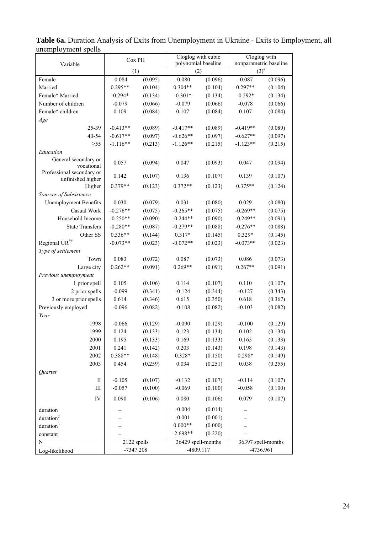| Variable                                       | Cox PH      |         | Cloglog with cubic<br>polynomial baseline |         | Cloglog with<br>nonparametric baseline |         |  |
|------------------------------------------------|-------------|---------|-------------------------------------------|---------|----------------------------------------|---------|--|
|                                                | (1)         |         | (2)                                       |         | $(3)^{\frac{1}{4}}$                    |         |  |
| Female                                         | $-0.084$    | (0.095) | $-0.080$                                  | (0.096) | $-0.087$                               | (0.096) |  |
| Married                                        | $0.295**$   | (0.104) | $0.304**$                                 | (0.104) | $0.297**$                              | (0.104) |  |
| Female* Married                                | $-0.294*$   | (0.134) | $-0.301*$                                 | (0.134) | $-0.292*$                              | (0.134) |  |
| Number of children                             | $-0.079$    | (0.066) | $-0.079$                                  | (0.066) | $-0.078$                               | (0.066) |  |
| Female* children                               | 0.109       | (0.084) | 0.107                                     | (0.084) | 0.107                                  | (0.084) |  |
| Age                                            |             |         |                                           |         |                                        |         |  |
| 25-39                                          | $-0.413**$  | (0.089) | $-0.417**$                                | (0.089) | $-0.419**$                             | (0.089) |  |
| 40-54                                          | $-0.617**$  | (0.097) | $-0.626**$                                | (0.097) | $-0.627**$                             | (0.097) |  |
| $\geq 55$                                      | $-1.116**$  | (0.213) | $-1.126**$                                | (0.215) | $-1.123**$                             | (0.215) |  |
| Education                                      |             |         |                                           |         |                                        |         |  |
| General secondary or                           | 0.057       |         | 0.047                                     |         | 0.047                                  |         |  |
| vocational                                     |             | (0.094) |                                           | (0.093) |                                        | (0.094) |  |
| Professional secondary or<br>unfinished higher | 0.142       | (0.107) | 0.136                                     | (0.107) | 0.139                                  | (0.107) |  |
| Higher                                         | $0.379**$   | (0.123) | $0.372**$                                 | (0.123) | $0.375**$                              | (0.124) |  |
| Sources of Subsistence                         |             |         |                                           |         |                                        |         |  |
| <b>Unemployment Benefits</b>                   | 0.030       | (0.079) | 0.031                                     | (0.080) | 0.029                                  | (0.080) |  |
| Casual Work                                    | $-0.276**$  | (0.075) | $-0.265**$                                | (0.075) | $-0.269**$                             | (0.075) |  |
| Household Income                               | $-0.250**$  | (0.090) | $-0.244**$                                | (0.090) | $-0.249**$                             | (0.091) |  |
| <b>State Transfers</b>                         | $-0.280**$  | (0.087) | $-0.279**$                                | (0.088) | $-0.276**$                             | (0.088) |  |
| Other SS                                       | $0.336**$   | (0.144) | $0.317*$                                  | (0.145) | $0.329*$                               | (0.145) |  |
| Regional UR##                                  | $-0.073**$  | (0.023) | $-0.072**$                                | (0.023) | $-0.073**$                             | (0.023) |  |
| Type of settlement                             |             |         |                                           |         |                                        |         |  |
| Town                                           | 0.083       | (0.072) | 0.087                                     | (0.073) | 0.086                                  | (0.073) |  |
| Large city                                     | $0.262**$   | (0.091) | $0.269**$                                 | (0.091) | $0.267**$                              | (0.091) |  |
| Previous unemployment                          |             |         |                                           |         |                                        |         |  |
| 1 prior spell                                  | 0.105       | (0.106) | 0.114                                     | (0.107) | 0.110                                  | (0.107) |  |
| 2 prior spells                                 | $-0.099$    | (0.341) | $-0.124$                                  | (0.344) | $-0.127$                               | (0.343) |  |
| 3 or more prior spells                         | 0.614       | (0.346) | 0.615                                     | (0.350) | 0.618                                  | (0.367) |  |
| Previously employed                            | $-0.096$    | (0.082) | $-0.108$                                  | (0.082) | $-0.103$                               | (0.082) |  |
| Year                                           |             |         |                                           |         |                                        |         |  |
| 1998                                           | $-0.066$    | (0.129) | $-0.090$                                  | (0.129) | $-0.100$                               | (0.129) |  |
| 1999                                           | 0.124       | (0.133) | 0.123                                     | (0.134) | 0.102                                  | (0.134) |  |
| 2000                                           | 0.195       | (0.133) | 0.169                                     | (0.133) | 0.165                                  | (0.133) |  |
| 2001                                           | 0.241       | (0.142) | 0.203                                     | (0.143) | 0.198                                  | (0.143) |  |
| 2002                                           | 0.388**     | (0.148) | $0.328*$                                  | (0.150) | $0.298*$                               | (0.149) |  |
| 2003                                           | 0.454       | (0.259) | 0.034                                     | (0.251) | 0.038                                  | (0.255) |  |
| Quarter                                        |             |         |                                           |         |                                        |         |  |
| $\rm II$                                       | $-0.105$    | (0.107) | $-0.132$                                  | (0.107) | $-0.114$                               | (0.107) |  |
| $\rm III$                                      | $-0.057$    | (0.100) | $-0.069$                                  | (0.100) | $-0.058$                               | (0.100) |  |
| IV                                             | 0.090       | (0.106) | 0.080                                     | (0.106) | 0.079                                  | (0.107) |  |
| duration                                       |             |         | $-0.004$                                  | (0.014) |                                        |         |  |
| duration <sup>2</sup>                          |             |         | $-0.001$                                  | (0.001) |                                        |         |  |
| duration <sup>3</sup>                          |             |         | $0.000**$                                 | (0.000) |                                        |         |  |
| constant                                       |             |         | $-2.698**$                                | (0.220) |                                        |         |  |
| N                                              | 2122 spells |         | 36429 spell-months                        |         | 36397 spell-months                     |         |  |
| Log-likelihood                                 | $-7347.208$ |         | -4809.117                                 |         | -4736.961                              |         |  |
|                                                |             |         |                                           |         |                                        |         |  |

**Table 6a.** Duration Analysis of Exits from Unemployment in Ukraine - Exits to Employment, all unemployment spells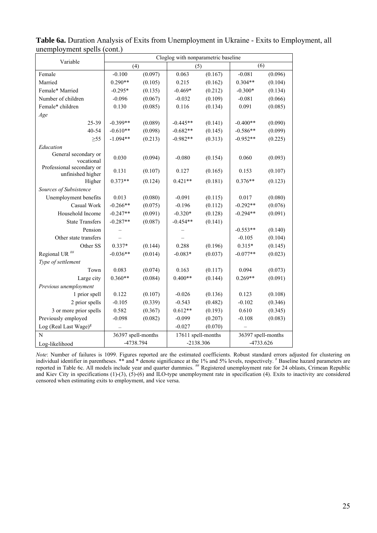| Variable                                       |                    | Cloglog with nonparametric baseline |                    |         |                    |         |
|------------------------------------------------|--------------------|-------------------------------------|--------------------|---------|--------------------|---------|
|                                                | (4)                |                                     | (5)                |         | (6)                |         |
| Female                                         | $-0.100$           | (0.097)                             | 0.063              | (0.167) | $-0.081$           | (0.096) |
| Married                                        | $0.290**$          | (0.105)                             | 0.215              | (0.162) | $0.304**$          | (0.104) |
| Female* Married                                | $-0.295*$          | (0.135)                             | $-0.469*$          | (0.212) | $-0.300*$          | (0.134) |
| Number of children                             | $-0.096$           | (0.067)                             | $-0.032$           | (0.109) | $-0.081$           | (0.066) |
| Female* children                               | 0.130              | (0.085)                             | 0.116              | (0.134) | 0.091              | (0.085) |
| Age                                            |                    |                                     |                    |         |                    |         |
| 25-39                                          | $-0.399**$         | (0.089)                             | $-0.445**$         | (0.141) | $-0.400**$         | (0.090) |
| 40-54                                          | $-0.610**$         | (0.098)                             | $-0.682**$         | (0.145) | $-0.586**$         | (0.099) |
| $\geq 55$                                      | $-1.094**$         | (0.213)                             | $-0.982**$         | (0.313) | $-0.952**$         | (0.225) |
| Education                                      |                    |                                     |                    |         |                    |         |
| General secondary or<br>vocational             | 0.030              | (0.094)                             | $-0.080$           | (0.154) | 0.060              | (0.093) |
| Professional secondary or<br>unfinished higher | 0.131              | (0.107)                             | 0.127              | (0.165) | 0.153              | (0.107) |
| Higher                                         | $0.373**$          | (0.124)                             | $0.421**$          | (0.181) | $0.376**$          | (0.123) |
| Sources of Subsistence                         |                    |                                     |                    |         |                    |         |
| Unemployment benefits                          | 0.013              | (0.080)                             | $-0.091$           | (0.115) | 0.017              | (0.080) |
| Casual Work                                    | $-0.266**$         | (0.075)                             | $-0.196$           | (0.112) | $-0.292**$         | (0.076) |
| Household Income                               | $-0.247**$         | (0.091)                             | $-0.320*$          | (0.128) | $-0.294**$         | (0.091) |
| <b>State Transfers</b>                         | $-0.287**$         | (0.087)                             | $-0.454**$         | (0.141) |                    |         |
| Pension                                        |                    |                                     |                    |         | $-0.553**$         | (0.140) |
| Other state transfers                          |                    |                                     |                    |         | $-0.105$           | (0.104) |
| Other SS                                       | $0.337*$           | (0.144)                             | 0.288              | (0.196) | $0.315*$           | (0.145) |
| Regional UR <sup>##</sup>                      | $-0.036**$         | (0.014)                             | $-0.083*$          | (0.037) | $-0.077**$         | (0.023) |
| Type of settlement                             |                    |                                     |                    |         |                    |         |
| Town                                           | 0.083              | (0.074)                             | 0.163              | (0.117) | 0.094              | (0.073) |
| Large city                                     | $0.360**$          | (0.084)                             | $0.400**$          | (0.144) | $0.269**$          | (0.091) |
| Previous unemployment                          |                    |                                     |                    |         |                    |         |
| 1 prior spell                                  | 0.122              | (0.107)                             | $-0.026$           | (0.136) | 0.123              | (0.108) |
| 2 prior spells                                 | $-0.105$           | (0.339)                             | $-0.543$           | (0.482) | $-0.102$           | (0.346) |
| 3 or more prior spells                         | 0.582              | (0.367)                             | $0.612**$          | (0.193) | 0.610              | (0.345) |
| Previously employed                            | $-0.098$           | (0.082)                             | $-0.099$           | (0.207) | $-0.108$           | (0.083) |
| Log (Real Last Wage) $g$                       |                    |                                     | $-0.027$           | (0.070) |                    |         |
| N                                              | 36397 spell-months |                                     | 17611 spell-months |         | 36397 spell-months |         |
| Log-likelihood                                 | -4738.794          |                                     | $-2138.306$        |         | -4733.626          |         |

**Table 6a.** Duration Analysis of Exits from Unemployment in Ukraine - Exits to Employment, all unemployment spells (cont.)

*Note*: Number of failures is 1099. Figures reported are the estimated coefficients. Robust standard errors adjusted for clustering on individual identifier in parentheses. \*\* and \* denote significance at the 1% and 5% levels, respectively. # Baseline hazard parameters are reported in Table 6c. All models include year and quarter dummies. ## Registered unemployment rate for 24 oblasts, Crimean Republic and Kiev City in specifications (1)-(3), (5)-(6) and ILO-type unemployment rate in specification (4). Exits to inactivity are considered censored when estimating exits to employment, and vice versa.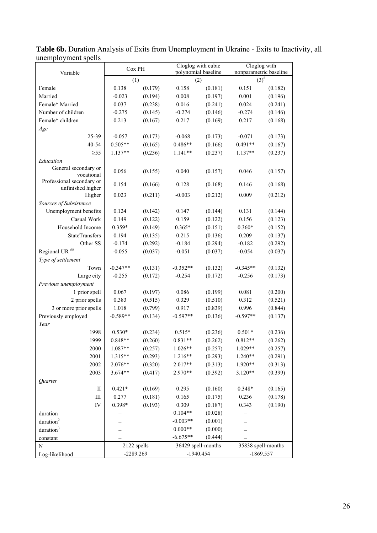| unchiprovinche spens                           | Cox PH       |                    | Cloglog with cubic  |         | Cloglog with                         |         |  |
|------------------------------------------------|--------------|--------------------|---------------------|---------|--------------------------------------|---------|--|
| Variable                                       |              |                    | polynomial baseline |         | nonparametric baseline<br>$(3)^{\#}$ |         |  |
| Female                                         | (1)<br>0.138 | (0.179)            | (2)<br>0.158        | (0.181) | 0.151                                | (0.182) |  |
| Married                                        | $-0.023$     | (0.194)            | 0.008               | (0.197) | 0.001                                | (0.196) |  |
| Female* Married                                | 0.037        | (0.238)            | 0.016               | (0.241) | 0.024                                | (0.241) |  |
| Number of children                             | $-0.275$     | (0.145)            | $-0.274$            | (0.146) | $-0.274$                             | (0.146) |  |
| Female* children                               | 0.213        | (0.167)            | 0.217               | (0.169) | 0.217                                | (0.168) |  |
|                                                |              |                    |                     |         |                                      |         |  |
| Age<br>25-39                                   | $-0.057$     |                    | $-0.068$            | (0.173) |                                      | (0.173) |  |
| 40-54                                          | $0.505**$    | (0.173)<br>(0.165) | $0.486**$           | (0.166) | $-0.071$<br>$0.491**$                | (0.167) |  |
|                                                |              | (0.236)            | $1.141**$           | (0.237) | $1.137**$                            | (0.237) |  |
| $\geq 55$<br>Education                         | $1.137**$    |                    |                     |         |                                      |         |  |
| General secondary or                           |              |                    |                     |         |                                      |         |  |
| vocational                                     | 0.056        | (0.155)            | 0.040               | (0.157) | 0.046                                | (0.157) |  |
| Professional secondary or<br>unfinished higher | 0.154        | (0.166)            | 0.128               | (0.168) | 0.146                                | (0.168) |  |
| Higher                                         | 0.023        | (0.211)            | $-0.003$            | (0.212) | 0.009                                | (0.212) |  |
| Sources of Subsistence                         |              |                    |                     |         |                                      |         |  |
| Unemployment benefits                          | 0.124        | (0.142)            | 0.147               | (0.144) | 0.131                                | (0.144) |  |
| Casual Work                                    | 0.149        | (0.122)            | 0.159               | (0.122) | 0.156                                | (0.123) |  |
| Household Income                               | 0.359*       | (0.149)            | $0.365*$            | (0.151) | $0.360*$                             | (0.152) |  |
| <b>StateTransfers</b>                          | 0.194        | (0.135)            | 0.215               | (0.136) | 0.209                                | (0.137) |  |
| Other SS                                       | $-0.174$     | (0.292)            | $-0.184$            | (0.294) | $-0.182$                             | (0.292) |  |
| Regional UR <sup>##</sup>                      | $-0.055$     | (0.037)            | $-0.051$            | (0.037) | $-0.054$                             | (0.037) |  |
| Type of settlement                             |              |                    |                     |         |                                      |         |  |
| Town                                           | $-0.347**$   | (0.131)            | $-0.352**$          | (0.132) | $-0.345**$                           | (0.132) |  |
| Large city                                     | $-0.255$     | (0.172)            | $-0.254$            | (0.172) | $-0.256$                             | (0.173) |  |
| Previous unemployment                          |              |                    |                     |         |                                      |         |  |
| 1 prior spell                                  | 0.067        | (0.197)            | 0.086               | (0.199) | 0.081                                | (0.200) |  |
| 2 prior spells                                 | 0.383        | (0.515)            | 0.329               | (0.510) | 0.312                                | (0.521) |  |
| 3 or more prior spells                         | 1.018        | (0.799)            | 0.917               | (0.839) | 0.996                                | (0.844) |  |
| Previously employed                            | $-0.589**$   | (0.134)            | $-0.597**$          | (0.136) | $-0.597**$                           | (0.137) |  |
| Year                                           |              |                    |                     |         |                                      |         |  |
| 1998                                           | $0.530*$     | (0.234)            | $0.515*$            | (0.236) | $0.501*$                             | (0.236) |  |
| 1999                                           | $0.848**$    | (0.260)            | $0.831**$           | (0.262) | $0.812**$                            | (0.262) |  |
| 2000                                           | $1.087**$    | (0.257)            | $1.026**$           | (0.257) | 1.029**                              | (0.257) |  |
| 2001                                           | 1.315**      | (0.293)            | $1.216**$           | (0.293) | 1.240**                              | (0.291) |  |
| 2002                                           | 2.076**      | (0.320)            | 2.017**             | (0.313) | 1.920**                              | (0.313) |  |
| 2003                                           | $3.674**$    | (0.417)            | $2.970**$           | (0.392) | $3.120**$                            | (0.399) |  |
| Quarter                                        |              |                    |                     |         |                                      |         |  |
| $\rm II$                                       | $0.421*$     | (0.169)            | 0.295               | (0.160) | $0.348*$                             | (0.165) |  |
| $\rm III$                                      | 0.277        | (0.181)            | 0.165               | (0.175) | 0.236                                | (0.178) |  |
| ${\rm IV}$                                     | 0.398*       | (0.193)            | 0.309               | (0.187) | 0.343                                | (0.190) |  |
| duration                                       |              |                    | $0.104**$           | (0.028) |                                      |         |  |
| duration <sup>2</sup>                          |              |                    | $-0.003**$          | (0.001) |                                      |         |  |
| duration <sup>3</sup>                          |              |                    | $0.000**$           | (0.000) |                                      |         |  |
| constant                                       |              |                    | $-6.675**$          | (0.444) |                                      |         |  |
| N                                              | 2122 spells  |                    | 36429 spell-months  |         | 35838 spell-months                   |         |  |
| Log-likelihood                                 | -2289.269    |                    | $-1940.454$         |         | $-1869.557$                          |         |  |
|                                                |              |                    |                     |         |                                      |         |  |

Table 6b. Duration Analysis of Exits from Unemployment in Ukraine - Exits to Inactivity, all unemployment spells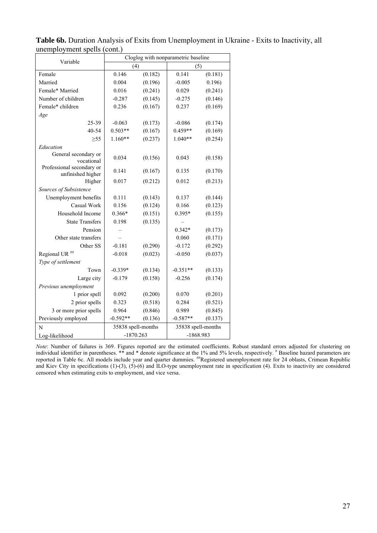| Variable                                       | Cloglog with nonparametric baseline |         |                    |         |  |
|------------------------------------------------|-------------------------------------|---------|--------------------|---------|--|
|                                                | (4)                                 |         | (5)                |         |  |
| Female                                         | 0.146                               | (0.182) | 0.141              | (0.181) |  |
| Married                                        | 0.004                               | (0.196) | $-0.005$           | 0.196)  |  |
| Female* Married                                | 0.016                               | (0.241) | 0.029              | (0.241) |  |
| Number of children                             | $-0.287$                            | (0.145) | $-0.275$           | (0.146) |  |
| Female* children                               | 0.236                               | (0.167) | 0.237              | (0.169) |  |
| Age                                            |                                     |         |                    |         |  |
| 25-39                                          | $-0.063$                            | (0.173) | $-0.086$           | (0.174) |  |
| 40-54                                          | $0.503**$                           | (0.167) | $0.459**$          | (0.169) |  |
| $\geq 55$                                      | $1.160**$                           | (0.237) | $1.040**$          | (0.254) |  |
| Education                                      |                                     |         |                    |         |  |
| General secondary or<br>vocational             | 0.034                               | (0.156) | 0.043              | (0.158) |  |
| Professional secondary or<br>unfinished higher | 0.141                               | (0.167) | 0.135              | (0.170) |  |
| Higher                                         | 0.017                               | (0.212) | 0.012              | (0.213) |  |
| Sources of Subsistence                         |                                     |         |                    |         |  |
| Unemployment benefits                          | 0.111                               | (0.143) | 0.137              | (0.144) |  |
| Casual Work                                    | 0.156                               | (0.124) | 0.166              | (0.123) |  |
| Household Income                               | $0.366*$                            | (0.151) | $0.395*$           | (0.155) |  |
| <b>State Transfers</b>                         | 0.198                               | (0.135) |                    |         |  |
| Pension                                        |                                     |         | $0.342*$           | (0.173) |  |
| Other state transfers                          |                                     |         | 0.060              | (0.171) |  |
| Other SS                                       | $-0.181$                            | (0.290) | $-0.172$           | (0.292) |  |
| Regional UR <sup>##</sup>                      | $-0.018$                            | (0.023) | $-0.050$           | (0.037) |  |
| Type of settlement                             |                                     |         |                    |         |  |
| Town                                           | $-0.339*$                           | (0.134) | $-0.351**$         | (0.133) |  |
| Large city                                     | $-0.179$                            | (0.158) | $-0.256$           | (0.174) |  |
| Previous unemployment                          |                                     |         |                    |         |  |
| 1 prior spell                                  | 0.092                               | (0.200) | 0.070              | (0.201) |  |
| 2 prior spells                                 | 0.323                               | (0.518) | 0.284              | (0.521) |  |
| 3 or more prior spells                         | 0.964                               | (0.846) | 0.989              | (0.845) |  |
| Previously employed                            | $-0.592**$                          | (0.136) | $-0.587**$         | (0.137) |  |
| N                                              | 35838 spell-months                  |         | 35838 spell-months |         |  |
| Log-likelihood                                 | $-1870.263$                         |         | $-1868.983$        |         |  |

**Table 6b.** Duration Analysis of Exits from Unemployment in Ukraine - Exits to Inactivity, all unemployment spells (cont.)

*Note*: Number of failures is 369. Figures reported are the estimated coefficients. Robust standard errors adjusted for clustering on individual identifier in parentheses. \*\* and \* denote significance at the 1% and 5% levels, respectively. # Baseline hazard parameters are reported in Table 6c. All models include year and quarter dummies. <sup>##</sup>Registered unemployment rate for 24 oblasts, Crimean Republic and Kiev City in specifications (1)-(3), (5)-(6) and ILO-type unemployment rate in specification (4). Exits to inactivity are considered censored when estimating exits to employment, and vice versa.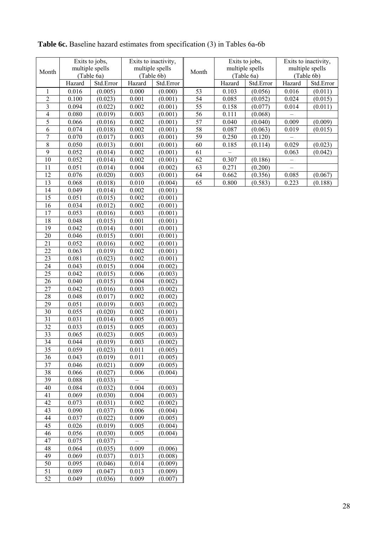| Month                            |                | Exits to jobs,<br>multiple spells<br>(Table 6a) |                | Exits to inactivity,<br>multiple spells<br>Month<br>(Table 6b) |          |        | Exits to jobs,<br>multiple spells<br>(Table 6a) |                          | Exits to inactivity,<br>multiple spells<br>(Table 6b) |
|----------------------------------|----------------|-------------------------------------------------|----------------|----------------------------------------------------------------|----------|--------|-------------------------------------------------|--------------------------|-------------------------------------------------------|
|                                  | Hazard         | Std.Error                                       | Hazard         | Std.Error                                                      |          | Hazard | Std.Error                                       | Hazard                   | Std.Error                                             |
| 1                                | 0.016          | (0.005)                                         | 0.000          | (0.000)                                                        | 53       | 0.103  | (0.056)                                         | 0.016                    | (0.011)                                               |
| $\overline{c}$                   | 0.100          | (0.023)                                         | 0.001          | (0.001)                                                        | 54       | 0.085  | (0.052)                                         | 0.024                    | (0.015)                                               |
| $\overline{\mathbf{3}}$          | 0.094          | (0.022)                                         | 0.002          | (0.001)                                                        | 55       | 0.158  | (0.077)                                         | 0.014                    | (0.011)                                               |
| $\overline{4}$                   | 0.080          | (0.019)                                         | 0.003          | (0.001)                                                        | 56       | 0.111  | (0.068)                                         |                          |                                                       |
| 5                                | 0.066          | (0.016)                                         | 0.002          | (0.001)                                                        | 57       | 0.040  | (0.040)                                         | 0.009                    | (0.009)                                               |
| 6                                | 0.074          | (0.018)                                         | 0.002          | (0.001)                                                        | 58       | 0.087  | (0.063)                                         | 0.019                    | (0.015)                                               |
| $\sqrt{ }$                       | 0.070          | (0.017)                                         | 0.003          | (0.001)                                                        | 59       | 0.250  | (0.120)                                         |                          |                                                       |
| $\overline{8}$<br>$\overline{9}$ | 0.050          | (0.013)                                         | 0.001          | (0.001)                                                        | 60       | 0.185  | (0.114)                                         | 0.029                    | (0.023)                                               |
| 10                               | 0.052          | (0.014)                                         | 0.002<br>0.002 | (0.001)                                                        | 61<br>62 | 0.307  |                                                 | 0.063                    | (0.042)                                               |
| 11                               | 0.052<br>0.051 | (0.014)<br>(0.014)                              | 0.004          | (0.001)<br>(0.002)                                             | 63       | 0.271  | (0.186)<br>(0.200)                              | $\overline{\phantom{0}}$ |                                                       |
| 12                               | 0.076          | (0.020)                                         | 0.003          | (0.001)                                                        | 64       | 0.662  | (0.356)                                         | 0.085                    | (0.067)                                               |
| 13                               | 0.068          | (0.018)                                         | 0.010          | (0.004)                                                        | 65       | 0.800  | (0.583)                                         | 0.223                    | (0.188)                                               |
| 14                               | 0.049          | (0.014)                                         | 0.002          | (0.001)                                                        |          |        |                                                 |                          |                                                       |
| 15                               | 0.051          | (0.015)                                         | 0.002          | (0.001)                                                        |          |        |                                                 |                          |                                                       |
| 16                               | 0.034          | (0.012)                                         | 0.002          | (0.001)                                                        |          |        |                                                 |                          |                                                       |
| 17                               | 0.053          | (0.016)                                         | 0.003          | (0.001)                                                        |          |        |                                                 |                          |                                                       |
| 18                               | 0.048          | (0.015)                                         | 0.001          | (0.001)                                                        |          |        |                                                 |                          |                                                       |
| 19                               | 0.042          | (0.014)                                         | 0.001          | (0.001)                                                        |          |        |                                                 |                          |                                                       |
| 20                               | 0.046          | (0.015)                                         | 0.001          | (0.001)                                                        |          |        |                                                 |                          |                                                       |
| 21                               | 0.052          | (0.016)                                         | 0.002          | (0.001)                                                        |          |        |                                                 |                          |                                                       |
| 22                               | 0.063          | (0.019)                                         | 0.002          | (0.001)                                                        |          |        |                                                 |                          |                                                       |
| 23                               | 0.081          | (0.023)                                         | 0.002          | (0.001)                                                        |          |        |                                                 |                          |                                                       |
| 24                               | 0.043          | (0.015)                                         | 0.004          | (0.002)                                                        |          |        |                                                 |                          |                                                       |
| 25                               | 0.042          | (0.015)                                         | 0.006          | (0.003)                                                        |          |        |                                                 |                          |                                                       |
| 26                               | 0.040          | (0.015)                                         | 0.004          | (0.002)                                                        |          |        |                                                 |                          |                                                       |
| 27                               | 0.042          | (0.016)                                         | 0.003          | (0.002)                                                        |          |        |                                                 |                          |                                                       |
| 28                               | 0.048          | (0.017)                                         | 0.002          | (0.002)                                                        |          |        |                                                 |                          |                                                       |
| 29                               | 0.051          | (0.019)                                         | 0.003          | (0.002)                                                        |          |        |                                                 |                          |                                                       |
| 30                               | 0.055          | (0.020)                                         | 0.002          | (0.001)                                                        |          |        |                                                 |                          |                                                       |
| 31                               | 0.031          | (0.014)                                         | 0.005          | (0.003)                                                        |          |        |                                                 |                          |                                                       |
| 32                               | 0.033          | (0.015)                                         | 0.005          | (0.003)                                                        |          |        |                                                 |                          |                                                       |
| 33                               | 0.065          | (0.023)                                         | 0.005          | (0.003)                                                        |          |        |                                                 |                          |                                                       |
| 34<br>35                         | 0.044<br>0.059 | (0.019)<br>(0.023)                              | 0.003<br>0.011 | (0.002)<br>(0.005)                                             |          |        |                                                 |                          |                                                       |
| 36                               | 0.043          | (0.019)                                         | 0.011          | (0.005)                                                        |          |        |                                                 |                          |                                                       |
| 37                               | 0.046          | (0.021)                                         | 0.009          | (0.005)                                                        |          |        |                                                 |                          |                                                       |
| 38                               | 0.066          | (0.027)                                         | 0.006          | (0.004)                                                        |          |        |                                                 |                          |                                                       |
| 39                               | 0.088          | (0.033)                                         |                |                                                                |          |        |                                                 |                          |                                                       |
| 40                               | 0.084          | (0.032)                                         | 0.004          | (0.003)                                                        |          |        |                                                 |                          |                                                       |
| 41                               | 0.069          | (0.030)                                         | 0.004          | (0.003)                                                        |          |        |                                                 |                          |                                                       |
| 42                               | 0.073          | (0.031)                                         | 0.002          | (0.002)                                                        |          |        |                                                 |                          |                                                       |
| 43                               | 0.090          | (0.037)                                         | 0.006          | (0.004)                                                        |          |        |                                                 |                          |                                                       |
| 44                               | 0.037          | (0.022)                                         | 0.009          | (0.005)                                                        |          |        |                                                 |                          |                                                       |
| 45                               | 0.026          | (0.019)                                         | 0.005          | (0.004)                                                        |          |        |                                                 |                          |                                                       |
| 46                               | 0.056          | (0.030)                                         | 0.005          | (0.004)                                                        |          |        |                                                 |                          |                                                       |
| 47                               | 0.075          | (0.037)                                         |                |                                                                |          |        |                                                 |                          |                                                       |
| 48                               | 0.064          | (0.035)                                         | 0.009          | (0.006)                                                        |          |        |                                                 |                          |                                                       |
| 49                               | 0.069          | (0.037)                                         | 0.013          | (0.008)                                                        |          |        |                                                 |                          |                                                       |
| 50                               | 0.095          | (0.046)                                         | 0.014          | (0.009)                                                        |          |        |                                                 |                          |                                                       |
| $\overline{51}$                  | 0.089          | (0.047)                                         | 0.013          | (0.009)                                                        |          |        |                                                 |                          |                                                       |
| 52                               | 0.049          | (0.036)                                         | 0.009          | (0.007)                                                        |          |        |                                                 |                          |                                                       |

# **Table 6c.** Baseline hazard estimates from specification (3) in Tables 6a-6b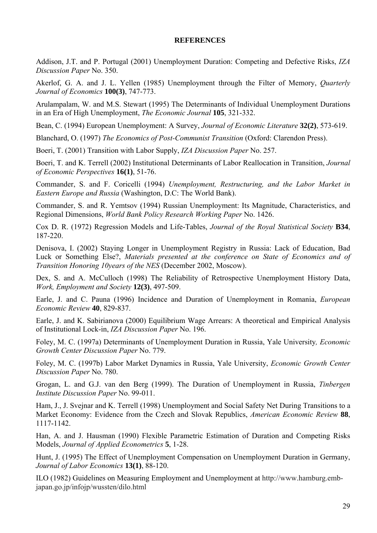### **REFERENCES**

Addison, J.T. and P. Portugal (2001) Unemployment Duration: Competing and Defective Risks, *IZA Discussion Paper* No. 350.

Akerlof, G. A. and J. L. Yellen (1985) Unemployment through the Filter of Memory, *Quarterly Journal of Economics* **100(3)**, 747-773.

Arulampalam, W. and M.S. Stewart (1995) The Determinants of Individual Unemployment Durations in an Era of High Unemployment, *The Economic Journal* **105**, 321-332.

Bean, C. (1994) European Unemployment: A Survey, *Journal of Economic Literature* **32(2)**, 573-619.

Blanchard, O. (1997) *The Economics of Post-Communist Transition* (Oxford: Clarendon Press).

Boeri, T. (2001) Transition with Labor Supply, *IZA Discussion Paper* No. 257.

Boeri, T. and K. Terrell (2002) Institutional Determinants of Labor Reallocation in Transition, *Journal of Economic Perspectives* **16(1)**, 51-76.

Commander, S. and F. Coricelli (1994) *Unemployment, Restructuring, and the Labor Market in Eastern Europe and Russia* (Washington, D.C: The World Bank).

Commander, S. and R. Yemtsov (1994) Russian Unemployment: Its Magnitude, Characteristics, and Regional Dimensions, *World Bank Policy Research Working Paper* No. 1426.

Cox D. R. (1972) Regression Models and Life-Tables, *Journal of the Royal Statistical Society* **B34**, 187-220.

Denisova, I. (2002) Staying Longer in Unemployment Registry in Russia: Lack of Education, Bad Luck or Something Else?, *Materials presented at the conference on State of Economics and of Transition Honoring 10years of the NES* (December 2002, Moscow).

Dex, S. and A. McCulloch (1998) The Reliability of Retrospective Unemployment History Data, *Work, Employment and Society* **12(3)**, 497-509.

Earle, J. and C. Pauna (1996) Incidence and Duration of Unemployment in Romania, *European Economic Review* **40**, 829-837.

Earle, J. and K. Sabirianova (2000) Equilibrium Wage Arrears: A theoretical and Empirical Analysis of Institutional Lock-in, *IZA Discussion Paper* No. 196.

Foley, M. C. (1997a) Determinants of Unemployment Duration in Russia, Yale University*, Economic Growth Center Discussion Paper* No. 779.

Foley, M. C. (1997b) Labor Market Dynamics in Russia, Yale University, *Economic Growth Center Discussion Paper* No. 780.

Grogan, L. and G.J. van den Berg (1999). The Duration of Unemployment in Russia, *Tinbergen Institute Discussion Paper* No. 99-011.

Ham, J., J. Svejnar and K. Terrell (1998) Unemployment and Social Safety Net During Transitions to a Market Economy: Evidence from the Czech and Slovak Republics, *American Economic Review* **88**, 1117-1142.

Han, A. and J. Hausman (1990) Flexible Parametric Estimation of Duration and Competing Risks Models, *Journal of Applied Econometrics* **5**, 1-28.

Hunt, J. (1995) The Effect of Unemployment Compensation on Unemployment Duration in Germany, *Journal of Labor Economics* **13(1)**, 88-120.

ILO (1982) Guidelines on Measuring Employment and Unemployment at http://www.hamburg.embjapan.go.jp/infojp/wussten/dilo.html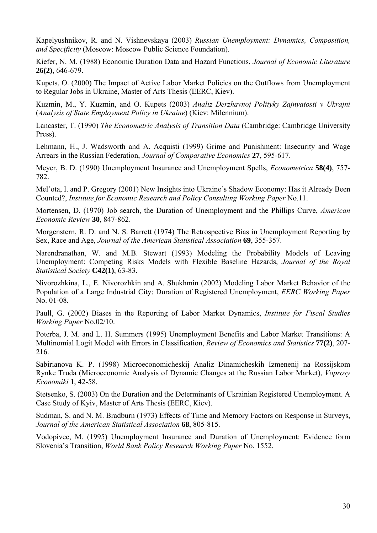Kapelyushnikov, R. and N. Vishnevskaya (2003) *Russian Unemployment: Dynamics, Composition, and Specificity* (Moscow: Moscow Public Science Foundation).

Kiefer, N. M. (1988) Economic Duration Data and Hazard Functions, *Journal of Economic Literature* **26(2)**, 646-679.

Kupets, O. (2000) The Impact of Active Labor Market Policies on the Outflows from Unemployment to Regular Jobs in Ukraine, Master of Arts Thesis (EERC, Kiev).

Kuzmin, M., Y. Kuzmin, and O. Kupets (2003) *Analiz Derzhavnoj Polityky Zajnyatosti v Ukrajni* (*Analysis of State Employment Policy in Ukraine*) (Kiev: Milennium).

Lancaster, T. (1990) *The Econometric Analysis of Transition Data* (Cambridge: Cambridge University Press).

Lehmann, H., J. Wadsworth and A. Acquisti (1999) Grime and Punishment: Insecurity and Wage Arrears in the Russian Federation, *Journal of Comparative Economics* **27**, 595-617.

Meyer, B. D. (1990) Unemployment Insurance and Unemployment Spells, *Econometrica* **58(4)**, 757- 782.

Mel'ota, I. and P. Gregory (2001) New Insights into Ukraine's Shadow Economy: Has it Already Been Counted?, *Institute for Economic Research and Policy Consulting Working Paper* No.11.

Mortensen, D. (1970) Job search, the Duration of Unemployment and the Phillips Curve, *American Economic Review* **30**, 847-862.

Morgenstern, R. D. and N. S. Barrett (1974) The Retrospective Bias in Unemployment Reporting by Sex, Race and Age, *Journal of the American Statistical Association* **69**, 355-357.

Narendranathan, W. and M.B. Stewart (1993) Modeling the Probability Models of Leaving Unemployment: Competing Risks Models with Flexible Baseline Hazards, *Journal of the Royal Statistical Society* **C42(1)**, 63-83.

Nivorozhkina, L., E. Nivorozhkin and A. Shukhmin (2002) Modeling Labor Market Behavior of the Population of a Large Industrial City: Duration of Registered Unemployment, *EERC Working Paper*  No. 01-08.

Paull, G. (2002) Biases in the Reporting of Labor Market Dynamics, *Institute for Fiscal Studies Working Paper* No.02/10.

Poterba, J. M. and L. H. Summers (1995) Unemployment Benefits and Labor Market Transitions: A Multinomial Logit Model with Errors in Classification, *Review of Economics and Statistics* **77(2)**, 207- 216.

Sabirianova K. P. (1998) Microeconomicheskij Analiz Dinamicheskih Izmenenij na Rossijskom Rynke Truda (Microeconomic Analysis of Dynamic Changes at the Russian Labor Market), *Voprosy Economiki* **1**, 42-58.

Stetsenko, S. (2003) On the Duration and the Determinants of Ukrainian Registered Unemployment. A Case Study of Kyiv, Master of Arts Thesis (EERC, Kiev).

Sudman, S. and N. M. Bradburn (1973) Effects of Time and Memory Factors on Response in Surveys, *Journal of the American Statistical Association* **68**, 805-815.

Vodopivec, M. (1995) Unemployment Insurance and Duration of Unemployment: Evidence form Slovenia's Transition, *World Bank Policy Research Working Paper* No. 1552.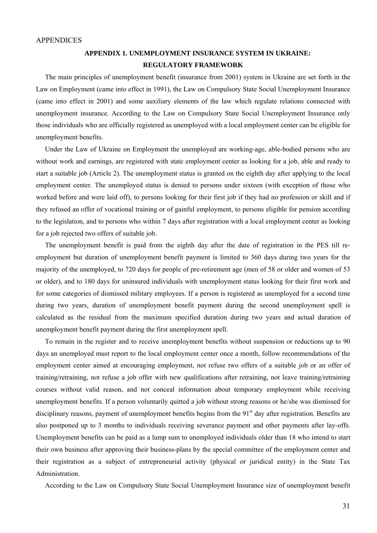### **APPENDIX 1. UNEMPLOYMENT INSURANCE SYSTEM IN UKRAINE: REGULATORY FRAMEWORK**

The main principles of unemployment benefit (insurance from 2001) system in Ukraine are set forth in the Law on Employment (came into effect in 1991), the Law on Compulsory State Social Unemployment Insurance (came into effect in 2001) and some auxiliary elements of the law which regulate relations connected with unemployment insurance. According to the Law on Compulsory State Social Unemployment Insurance only those individuals who are officially registered as unemployed with a local employment center can be eligible for unemployment benefits.

Under the Law of Ukraine on Employment the unemployed are working-age, able-bodied persons who are without work and earnings, are registered with state employment center as looking for a job, able and ready to start a suitable job (Article 2). The unemployment status is granted on the eighth day after applying to the local employment center. The unemployed status is denied to persons under sixteen (with exception of those who worked before and were laid off), to persons looking for their first job if they had no profession or skill and if they refused an offer of vocational training or of gainful employment, to persons eligible for pension according to the legislation, and to persons who within 7 days after registration with a local employment center as looking for a job rejected two offers of suitable job.

The unemployment benefit is paid from the eighth day after the date of registration in the PES till reemployment but duration of unemployment benefit payment is limited to 360 days during two years for the majority of the unemployed, to 720 days for people of pre-retirement age (men of 58 or older and women of 53 or older), and to 180 days for uninsured individuals with unemployment status looking for their first work and for some categories of dismissed military employees. If a person is registered as unemployed for a second time during two years, duration of unemployment benefit payment during the second unemployment spell is calculated as the residual from the maximum specified duration during two years and actual duration of unemployment benefit payment during the first unemployment spell.

To remain in the register and to receive unemployment benefits without suspension or reductions up to 90 days an unemployed must report to the local employment center once a month, follow recommendations of the employment center aimed at encouraging employment, not refuse two offers of a suitable job or an offer of training/retraining, not refuse a job offer with new qualifications after retraining, not leave training/retraining courses without valid reason, and not conceal information about temporary employment while receiving unemployment benefits. If a person voluntarily quitted a job without strong reasons or he/she was dismissed for disciplinary reasons, payment of unemployment benefits begins from the  $91<sup>st</sup>$  day after registration. Benefits are also postponed up to 3 months to individuals receiving severance payment and other payments after lay-offs. Unemployment benefits can be paid as a lump sum to unemployed individuals older than 18 who intend to start their own business after approving their business-plans by the special committee of the employment center and their registration as a subject of entrepreneurial activity (physical or juridical entity) in the State Tax Administration.

According to the Law on Compulsory State Social Unemployment Insurance size of unemployment benefit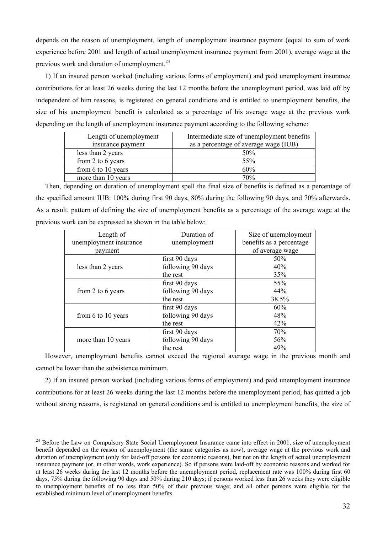depends on the reason of unemployment, length of unemployment insurance payment (equal to sum of work experience before 2001 and length of actual unemployment insurance payment from 2001), average wage at the previous work and duration of unemployment.<sup>24</sup>

1) If an insured person worked (including various forms of employment) and paid unemployment insurance contributions for at least 26 weeks during the last 12 months before the unemployment period, was laid off by independent of him reasons, is registered on general conditions and is entitled to unemployment benefits, the size of his unemployment benefit is calculated as a percentage of his average wage at the previous work depending on the length of unemployment insurance payment according to the following scheme:

| Length of unemployment | Intermediate size of unemployment benefits |
|------------------------|--------------------------------------------|
| insurance payment      | as a percentage of average wage (IUB)      |
| less than 2 years      | 50%                                        |
| from 2 to 6 years      | 55%                                        |
| from 6 to 10 years     | 60%                                        |
| more than 10 years     | 70%                                        |

Then, depending on duration of unemployment spell the final size of benefits is defined as a percentage of the specified amount IUB: 100% during first 90 days, 80% during the following 90 days, and 70% afterwards. As a result, pattern of defining the size of unemployment benefits as a percentage of the average wage at the previous work can be expressed as shown in the table below:

| Length of              | Duration of       | Size of unemployment     |  |
|------------------------|-------------------|--------------------------|--|
| unemployment insurance | unemployment      | benefits as a percentage |  |
| payment                |                   | of average wage          |  |
|                        | first 90 days     | 50%                      |  |
| less than 2 years      | following 90 days | 40%                      |  |
|                        | the rest          | 35%                      |  |
|                        | first 90 days     | 55%                      |  |
| from 2 to 6 years      | following 90 days | 44%                      |  |
|                        | the rest          | 38.5%                    |  |
|                        | first 90 days     | 60%                      |  |
| from 6 to 10 years     | following 90 days | 48%                      |  |
|                        | the rest          | 42%                      |  |
|                        | first 90 days     | 70%                      |  |
| more than 10 years     | following 90 days | 56%                      |  |
|                        | the rest          | 49%                      |  |

However, unemployment benefits cannot exceed the regional average wage in the previous month and cannot be lower than the subsistence minimum.

2) If an insured person worked (including various forms of employment) and paid unemployment insurance contributions for at least 26 weeks during the last 12 months before the unemployment period, has quitted a job without strong reasons, is registered on general conditions and is entitled to unemployment benefits, the size of

 $^{24}$  Before the Law on Compulsory State Social Unemployment Insurance came into effect in 2001, size of unemployment benefit depended on the reason of unemployment (the same categories as now), average wage at the previous work and duration of unemployment (only for laid-off persons for economic reasons), but not on the length of actual unemployment insurance payment (or, in other words, work experience). So if persons were laid-off by economic reasons and worked for at least 26 weeks during the last 12 months before the unemployment period, replacement rate was 100% during first 60 days, 75% during the following 90 days and 50% during 210 days; if persons worked less than 26 weeks they were eligible to unemployment benefits of no less than 50% of their previous wage; and all other persons were eligible for the established minimum level of unemployment benefits.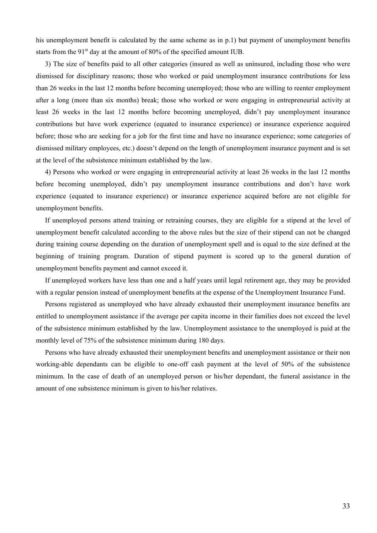his unemployment benefit is calculated by the same scheme as in p.1) but payment of unemployment benefits starts from the  $91<sup>st</sup>$  day at the amount of 80% of the specified amount IUB.

3) The size of benefits paid to all other categories (insured as well as uninsured, including those who were dismissed for disciplinary reasons; those who worked or paid unemployment insurance contributions for less than 26 weeks in the last 12 months before becoming unemployed; those who are willing to reenter employment after a long (more than six months) break; those who worked or were engaging in entrepreneurial activity at least 26 weeks in the last 12 months before becoming unemployed, didn't pay unemployment insurance contributions but have work experience (equated to insurance experience) or insurance experience acquired before; those who are seeking for a job for the first time and have no insurance experience; some categories of dismissed military employees, etc.) doesn't depend on the length of unemployment insurance payment and is set at the level of the subsistence minimum established by the law.

4) Persons who worked or were engaging in entrepreneurial activity at least 26 weeks in the last 12 months before becoming unemployed, didn't pay unemployment insurance contributions and don't have work experience (equated to insurance experience) or insurance experience acquired before are not eligible for unemployment benefits.

If unemployed persons attend training or retraining courses, they are eligible for a stipend at the level of unemployment benefit calculated according to the above rules but the size of their stipend can not be changed during training course depending on the duration of unemployment spell and is equal to the size defined at the beginning of training program. Duration of stipend payment is scored up to the general duration of unemployment benefits payment and cannot exceed it.

If unemployed workers have less than one and a half years until legal retirement age, they may be provided with a regular pension instead of unemployment benefits at the expense of the Unemployment Insurance Fund.

Persons registered as unemployed who have already exhausted their unemployment insurance benefits are entitled to unemployment assistance if the average per capita income in their families does not exceed the level of the subsistence minimum established by the law. Unemployment assistance to the unemployed is paid at the monthly level of 75% of the subsistence minimum during 180 days.

Persons who have already exhausted their unemployment benefits and unemployment assistance or their non working-able dependants can be eligible to one-off cash payment at the level of 50% of the subsistence minimum. In the case of death of an unemployed person or his/her dependant, the funeral assistance in the amount of one subsistence minimum is given to his/her relatives.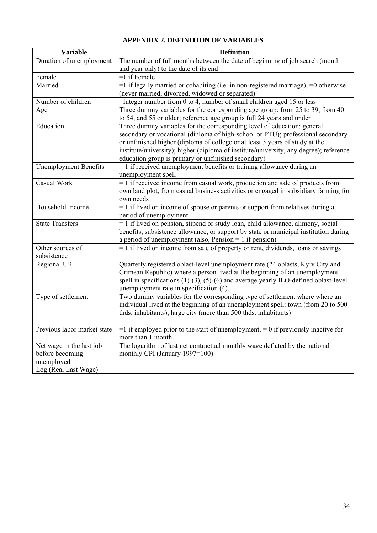## **APPENDIX 2. DEFINITION OF VARIABLES**

| <b>Variable</b>              | <b>Definition</b>                                                                         |
|------------------------------|-------------------------------------------------------------------------------------------|
| Duration of unemployment     | The number of full months between the date of beginning of job search (month              |
|                              | and year only) to the date of its end                                                     |
| Female                       | $=1$ if Female                                                                            |
| Married                      | $=$ 1 if legally married or cohabiting (i.e. in non-registered marriage), $=$ 0 otherwise |
|                              | (never married, divorced, widowed or separated)                                           |
| Number of children           | =Integer number from 0 to 4, number of small children aged 15 or less                     |
| Age                          | Three dummy variables for the corresponding age group: from 25 to 39, from 40             |
|                              | to 54, and 55 or older; reference age group is full 24 years and under                    |
| Education                    | Three dummy variables for the corresponding level of education: general                   |
|                              | secondary or vocational (diploma of high-school or PTU); professional secondary           |
|                              | or unfinished higher (diploma of college or at least 3 years of study at the              |
|                              | institute/university); higher (diploma of institute/university, any degree); reference    |
|                              | education group is primary or unfinished secondary)                                       |
| <b>Unemployment Benefits</b> | $= 1$ if received unemployment benefits or training allowance during an                   |
|                              | unemployment spell                                                                        |
| Casual Work                  | = 1 if received income from casual work, production and sale of products from             |
|                              | own land plot, from casual business activities or engaged in subsidiary farming for       |
|                              | own needs                                                                                 |
| Household Income             | $= 1$ if lived on income of spouse or parents or support from relatives during a          |
|                              | period of unemployment                                                                    |
| <b>State Transfers</b>       | = 1 if lived on pension, stipend or study loan, child allowance, alimony, social          |
|                              | benefits, subsistence allowance, or support by state or municipal institution during      |
|                              | a period of unemployment (also, Pension $= 1$ if pension)                                 |
| Other sources of             | $= 1$ if lived on income from sale of property or rent, dividends, loans or savings       |
| subsistence                  |                                                                                           |
| Regional UR                  | Quarterly registered oblast-level unemployment rate (24 oblasts, Kyiv City and            |
|                              | Crimean Republic) where a person lived at the beginning of an unemployment                |
|                              | spell in specifications $(1)-(3)$ , $(5)-(6)$ and average yearly ILO-defined oblast-level |
|                              | unemployment rate in specification (4).                                                   |
| Type of settlement           | Two dummy variables for the corresponding type of settlement where where an               |
|                              | individual lived at the beginning of an unemployment spell: town (from 20 to 500          |
|                              | thds. inhabitants), large city (more than 500 thds. inhabitants)                          |
|                              |                                                                                           |
| Previous labor market state  | $=$ 1 if employed prior to the start of unemployment, $=$ 0 if previously inactive for    |
|                              | more than 1 month                                                                         |
| Net wage in the last job     | The logarithm of last net contractual monthly wage deflated by the national               |
| before becoming              | monthly CPI (January 1997=100)                                                            |
| unemployed                   |                                                                                           |
| Log (Real Last Wage)         |                                                                                           |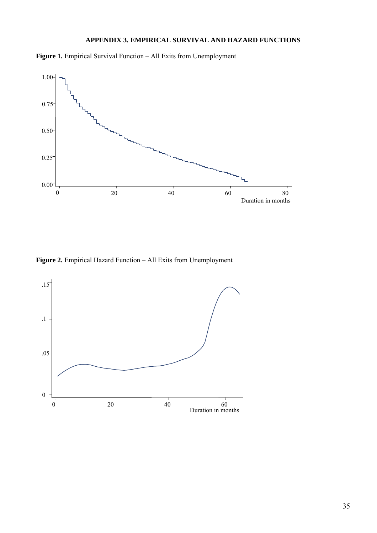### **APPENDIX 3. EMPIRICAL SURVIVAL AND HAZARD FUNCTIONS**

**Figure 1.** Empirical Survival Function – All Exits from Unemployment



**Figure 2.** Empirical Hazard Function – All Exits from Unemployment